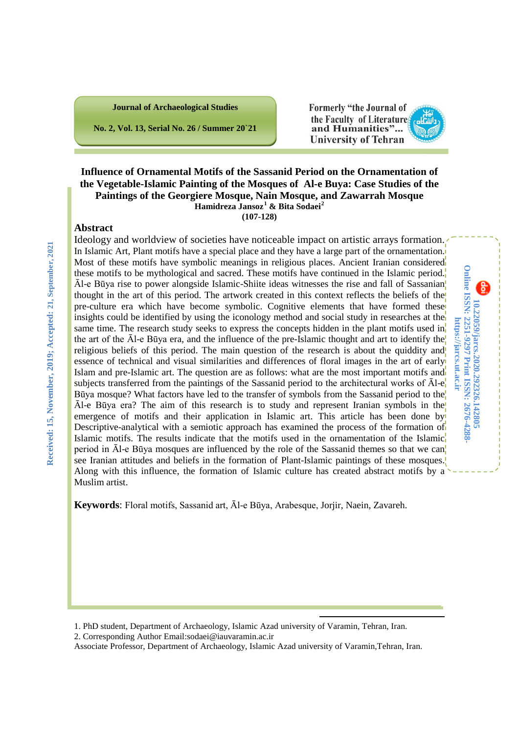

**No. 2, Vol. 13, Serial No. 26 / Summer 20`21**

Formerly "the Journal of the Faculty of Literatures and Humanities"... **University of Tehran** 

> **10.22059/jarcs.2020.292326.142805 Print ISSN: 2676-4288- Online ISSN: 2251-9297 https://jarcs.ut.ac.ir**

10.22059/jarcs.2020.292326.142805<br>Online ISSN: 2251-9297 Print ISSN: 2676-4288 https://jarcs.ut.ac.ir

### **Influence of Ornamental Motifs of the Sassanid Period on the Ornamentation of the Vegetable-Islamic Painting of the Mosques of Al-e Buya: Case Studies of the Paintings of the Georgiere Mosque, Nain Mosque, and Zawarrah Mosque Hamidreza Jansoz[1](#page-0-0) & Bita Sodaei[2](#page-0-1) (107-128)**

## **Abstract**

Ideology and worldview of societies have noticeable impact on artistic arrays formation. In Islamic Art, Plant motifs have a special place and they have a large part of the ornamentation. Most of these motifs have symbolic meanings in religious places. Ancient Iranian considered these motifs to be mythological and sacred. These motifs have continued in the Islamic period. Āl-e Būya rise to power alongside Islamic-Shiite ideas witnesses the rise and fall of Sassanian thought in the art of this period. The artwork created in this context reflects the beliefs of the pre-culture era which have become symbolic. Cognitive elements that have formed these insights could be identified by using the iconology method and social study in researches at the same time. The research study seeks to express the concepts hidden in the plant motifs used in the art of the Āl-e Būya era, and the influence of the pre-Islamic thought and art to identify the religious beliefs of this period. The main question of the research is about the quiddity and essence of technical and visual similarities and differences of floral images in the art of early Islam and pre-Islamic art. The question are as follows: what are the most important motifs and subjects transferred from the paintings of the Sassanid period to the architectural works of  $\bar{A}l-e$ Būya mosque? What factors have led to the transfer of symbols from the Sassanid period to the Āl-e Būya era? The aim of this research is to study and represent Iranian symbols in the emergence of motifs and their application in Islamic art. This article has been done by Descriptive-analytical with a semiotic approach has examined the process of the formation of Islamic motifs. The results indicate that the motifs used in the ornamentation of the Islamic period in  $\bar{A}$ l-e Būya mosques are influenced by the role of the Sassanid themes so that we can see Iranian attitudes and beliefs in the formation of Plant-Islamic paintings of these mosques. Along with this influence, the formation of Islamic culture has created abstract motifs by a Muslim artist.

**Keywords**: Floral motifs, Sassanid art, Āl-e Būya, Arabesque, Jorjir, Naein, Zavareh.

<span id="page-0-1"></span>2. Corresponding Author Email:sodaei@iauvaramin.ac.ir

Associate Professor, Department of Archaeology, Islamic Azad university of Varamin,Tehran, Iran.

1

<span id="page-0-0"></span><sup>1.</sup> PhD student, Department of Archaeology, Islamic Azad university of Varamin, Tehran, Iran.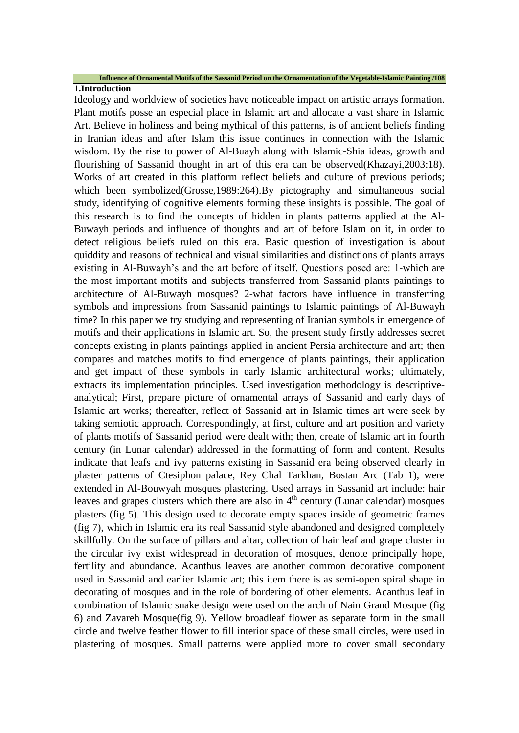#### **Influence of Ornamental Motifs of the Sassanid Period on the Ornamentation of the Vegetable-Islamic Painting /108**

## **1.Introduction**

Ideology and worldview of societies have noticeable impact on artistic arrays formation. Plant motifs posse an especial place in Islamic art and allocate a vast share in Islamic Art. Believe in holiness and being mythical of this patterns, is of ancient beliefs finding in Iranian ideas and after Islam this issue continues in connection with the Islamic wisdom. By the rise to power of Al-Buayh along with Islamic-Shia ideas, growth and flourishing of Sassanid thought in art of this era can be observed(Khazayi,2003:18). Works of art created in this platform reflect beliefs and culture of previous periods; which been symbolized(Grosse,1989:264).By pictography and simultaneous social study, identifying of cognitive elements forming these insights is possible. The goal of this research is to find the concepts of hidden in plants patterns applied at the Al-Buwayh periods and influence of thoughts and art of before Islam on it, in order to detect religious beliefs ruled on this era. Basic question of investigation is about quiddity and reasons of technical and visual similarities and distinctions of plants arrays existing in Al-Buwayh's and the art before of itself. Questions posed are: 1-which are the most important motifs and subjects transferred from Sassanid plants paintings to architecture of Al-Buwayh mosques? 2-what factors have influence in transferring symbols and impressions from Sassanid paintings to Islamic paintings of Al-Buwayh time? In this paper we try studying and representing of Iranian symbols in emergence of motifs and their applications in Islamic art. So, the present study firstly addresses secret concepts existing in plants paintings applied in ancient Persia architecture and art; then compares and matches motifs to find emergence of plants paintings, their application and get impact of these symbols in early Islamic architectural works; ultimately, extracts its implementation principles. Used investigation methodology is descriptiveanalytical; First, prepare picture of ornamental arrays of Sassanid and early days of Islamic art works; thereafter, reflect of Sassanid art in Islamic times art were seek by taking semiotic approach. Correspondingly, at first, culture and art position and variety of plants motifs of Sassanid period were dealt with; then, create of Islamic art in fourth century (in Lunar calendar) addressed in the formatting of form and content. Results indicate that leafs and ivy patterns existing in Sassanid era being observed clearly in plaster patterns of Ctesiphon palace, Rey Chal Tarkhan, Bostan Arc (Tab 1), were extended in Al-Bouwyah mosques plastering. Used arrays in Sassanid art include: hair leaves and grapes clusters which there are also in  $4<sup>th</sup>$  century (Lunar calendar) mosques plasters (fig 5). This design used to decorate empty spaces inside of geometric frames (fig 7), which in Islamic era its real Sassanid style abandoned and designed completely skillfully. On the surface of pillars and altar, collection of hair leaf and grape cluster in the circular ivy exist widespread in decoration of mosques, denote principally hope, fertility and abundance. Acanthus leaves are another common decorative component used in Sassanid and earlier Islamic art; this item there is as semi-open spiral shape in decorating of mosques and in the role of bordering of other elements. Acanthus leaf in combination of Islamic snake design were used on the arch of Nain Grand Mosque (fig 6) and Zavareh Mosque(fig 9). Yellow broadleaf flower as separate form in the small circle and twelve feather flower to fill interior space of these small circles, were used in plastering of mosques. Small patterns were applied more to cover small secondary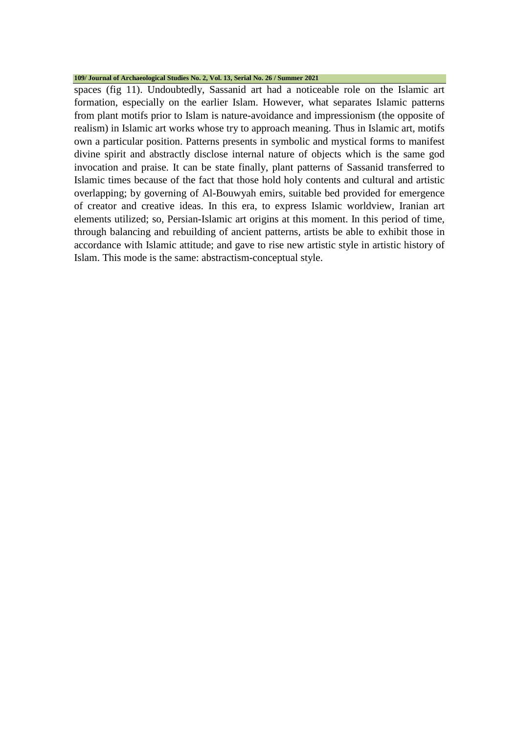#### **109/ Journal of Archaeological Studies No. 2, Vol. 13, Serial No. 26 / Summer 2021**

spaces (fig 11). Undoubtedly, Sassanid art had a noticeable role on the Islamic art formation, especially on the earlier Islam. However, what separates Islamic patterns from plant motifs prior to Islam is nature-avoidance and impressionism (the opposite of realism) in Islamic art works whose try to approach meaning. Thus in Islamic art, motifs own a particular position. Patterns presents in symbolic and mystical forms to manifest divine spirit and abstractly disclose internal nature of objects which is the same god invocation and praise. It can be state finally, plant patterns of Sassanid transferred to Islamic times because of the fact that those hold holy contents and cultural and artistic overlapping; by governing of Al-Bouwyah emirs, suitable bed provided for emergence of creator and creative ideas. In this era, to express Islamic worldview, Iranian art elements utilized; so, Persian-Islamic art origins at this moment. In this period of time, through balancing and rebuilding of ancient patterns, artists be able to exhibit those in accordance with Islamic attitude; and gave to rise new artistic style in artistic history of Islam. This mode is the same: abstractism-conceptual style.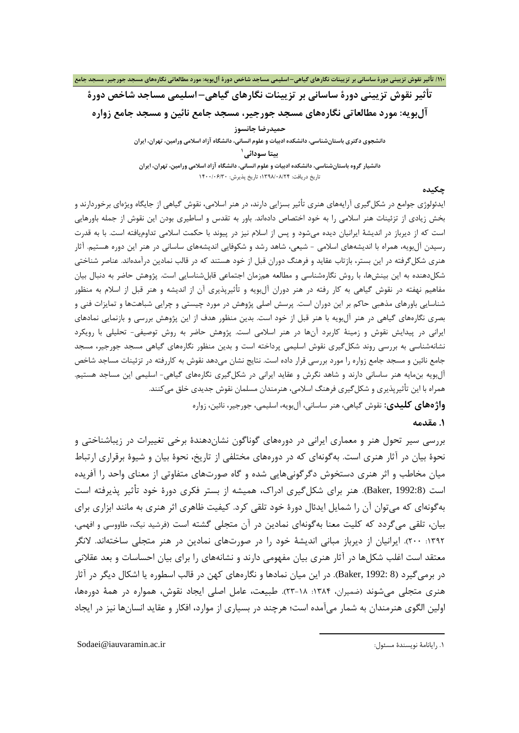## **تأثیر نقوش تزیینی دورة ساسانی بر تزیینات نگارهاي گیاهی– اسلیمی مساجد شاخص دورة آلبویه: مورد مطالعاتی نگارههاي مسجد جورجیر، مسجد جامع نائین و مسجد جامع زواره**

**حمیدرضا جانسوز دانشجوي دکتري باستانشناسی، دانشکده ادبیات و علوم انسانی، دانشگاه آزاد اسلامی ورامین، تهران، ایران 1 بیتا سودائی دانشیار گروه باستانشناسی، دانشکده ادبیات و علوم انسانی، دانشگاه آزاد اسلامی ورامین، تهران، ایران** تاریخ دریافت[:](#page-3-0) 1398/08/24؛ تاریخ پذیرش: 1400/06/30

### **چکیده**

ایدئولوژي جوامع در شکلگیري آرایههاي هنري تأثیر بسزایی دارند، در هنر اسلامی، نقوش گیاهی از جایگاه ویژهاي برخوردارند و بخش زیادي از تزئینات هنر اسلامی را به خود اختصاص دادهاند. باور به تقدس و اساطیري بودن این نقوش از جمله باورهایی است که از دیرباز در اندیشۀ ایرانیان دیده میشود و پس از اسلام نیز در پیوند با حکمت اسلامی تداومیافته است. با به قدرت رسیدن آلبویه، همراه با اندیشههاي اسلامی - شیعی، شاهد رشد و شکوفایی اندیشههاي ساسانی در هنر این دوره هستیم. آثار هنري شکلگرفته در این بستر، بازتاب عقاید و فرهنگ دوران قبل از خود هستند که در قالب نمادین درآمدهاند. عناصر شناختی شکلدهنده به این بینشها، با روش نگارهشناسی و مطالعه همزمان اجتماعی قابلشناسایی است. پژوهش حاضر به دنبال بیان مفاهیم نهفته در نقوش گیاهی به کار رفته در هنر دوران آلبویه و تأثیرپذیري آن از اندیشه و هنر قبل از اسلام به منظور شناسایی باورهاي مذهبی حاکم بر این دوران است. پرسش اصلی پژوهش در مورد چیستی و چرایی شباهتها و تمایزات فنی و بصري نگارههاي گیاهی در هنر آلبویه با هنر قبل از خود است. بدین منظور هدف از این پژوهش بررسی و بازنمایی نمادهاي ایرانی در پیدایش نقوش و زمینۀ کاربرد آنها در هنر اسلامی است. پژوهش حاضر به روش توصیفی- تحلیلی با رویکرد نشانهشناسی به بررسی روند شکلگیري نقوش اسلیمی پرداخته است و بدین منظور نگارههاي گیاهی مسجد جورجیر، مسجد جامع نائین و مسجد جامع زواره را مورد بررسی قرار داده است. نتایج نشان میدهد نقوش به کاررفته در تزئینات مساجد شاخص آلبویه بنمایه هنر ساسانی دارند و شاهد نگرش و عقاید ایرانی در شکلگیري نگارههاي گیاهی- اسلیمی این مساجد هستیم. همراه با این تأثیرپذیري و شکلگیري فرهنگ اسلامی، هنرمندان مسلمان نقوش جدیدي خلق میکنند. **واژههاي کلیدي:** نقوش گیاهی، هنر ساسانی، آلبویه، اسلیمی، جورجیر، نائین، زواره

#### **.1 مقدمه**

بررسی سیر تحول هنر و معماري ایرانی در دورههاي گوناگون نشاندهندة برخی تغییرات در زیباشناختی و نحوة بیان در آثار هنري است. بهگونهاي که در دورههاي مختلفی از تاریخ، نحوة بیان و شیوة برقراري ارتباط میان مخاطب و اثر هنري دستخوش دگرگونیهایی شده و گاه صورتهاي متفاوتی از معناي واحد را آفریده است (1992:8). هنر براي شکل $\xi$ یري ادراک، همیشه از بستر فکري دورهٔ خود تأثیر پذیرفته است بهگونهاي که میتوان آن را شمایل ایدئال دورة خود تلقی کرد. کیفیت ظاهري اثر هنري به مانند ابزاري براي بیان، تلقی میگردد که کلیت معنا بهگونهاي نمادین در آن متجلی گشته است (فرشید نیک، طاووسی و افهمی، :1392 200). ایرانیان از دیرباز مبانی اندیشۀ خود را در صورتهاي نمادین در هنر متجلی ساختهاند. لانگر معتقد است اغلب شکلها در آثار هنري بیان مفهومی دارند و نشانههاي را براي بیان احساسات و بعد عقلانی در برمیگیرد (8 1992: ,Baker(. در این میان نمادها و نگارههاي کهن در قالب اسطوره یا اشکال دیگر در آثار هنري متجلی میشوند (ضمیران، :1384 23-18). طبیعت، عامل اصلی ایجاد نقوش، همواره در همۀ دورهها، اولین الگوي هنرمندان به شمار میآمده است؛ هرچند در بسیاري از موارد، افکار و عقاید انسانها نیز در ایجاد

1

<span id="page-3-0"></span>Sodaei@iauvaramin.ac.ir :مسئول نویسندة رایانامۀ .1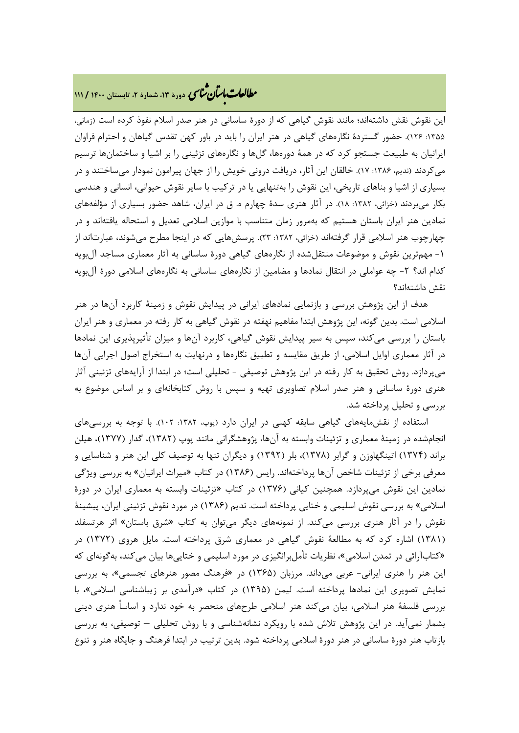# **، دورة ،13 شمارة ،2 تابستان <sup>1400</sup> / <sup>111</sup>** �نا� �طا ی �عات با�تان

این نقوش نقش داشتهاند؛ مانند نقوش گیاهی که از دورة ساسانی در هنر صدر اسلام نفوذ کرده است (زمانی، ۱۳۵۵: ۱۲۶). حضور گستردهٔ نگارههای گیاهی در هنر ایران را باید در باور کهن تقدس گیاهان و احترام فراوان ایرانیان به طبیعت جستجو کرد که در همۀ دورهها، گلها و نگارههاي تزئینی را بر اشیا و ساختمانها ترسیم میکردند (ندیم، ۱۳۸۶: ۱۷). خالقان این آثار، دریافت درونی خویش را از جهان پیرامون نمودار میساختند و در بسیاري از اشیا و بناهاي تاریخی، این نقوش را بهتنهایی یا در ترکیب با سایر نقوش حیوانی، انسانی و هندسی بکار میبردند (خزائی، :1382 18). در آثار هنري سدة چهارم ه. ق در ایران، شاهد حضور بسیاري از مؤلفههاي نمادین هنر ایران باستان هستیم که بهمرور زمان متناسب با موازین اسلامی تعدیل و استحاله یافتهاند و در چهارچوب هنر اسلامی قرار گرفتهاند (خزائی، :1382 23). پرسشهایی که در اینجا مطرح میشوند، عبارتاند از -1 مهمترین نقوش و موضوعات منتقلشده از نگارههاي گیاهی دورة ساسانی به آثار معماري مساجد آلبویه کدام اند؟ -2 چه عواملی در انتقال نمادها و مضامین از نگارههاي ساسانی به نگارههاي اسلامی دورة آلبویه نقش داشتهاند؟

هدف از این پژوهش بررسی و بازنمایی نمادهاي ایرانی در پیدایش نقوش و زمینۀ کاربرد آنها در هنر اسلامی است. بدین گونه، این پژوهش ابتدا مفاهیم نهفته در نقوش گیاهی به کار رفته در معماري و هنر ایران باستان را بررسی میکند، سپس به سیر پیدایش نقوش گیاهی، کاربرد آنها و میزان تأثیرپذیري این نمادها در آثار معماري اوایل اسلامی، از طریق مقایسه و تطبیق نگارهها و درنهایت به استخراج اصول اجرایی آنها میپردازد. روش تحقیق به کار رفته در این پژوهش توصیفی - تحلیلی است؛ در ابتدا از آرایههاي تزئینی آثار هنري دورة ساسانی و هنر صدر اسلام تصاویري تهیه و سپس با روش کتابخانهاي و بر اساس موضوع به بررسی و تحلیل پرداخته شد.

استفاده از نقشمایههاي گیاهی سابقه کهنی در ایران دارد (پوپ، :1382 102). با توجه به بررسیهاي انجامشده در زمینۀ معماري و تزئینات وابسته به آنها، پژوهشگرانی مانند پوپ (1382)، گدار (1377)، هیلن براند (1374) اتینگهاوزن و گرابر (1378)، بلر (1392) و دیگران تنها به توصیف کلی این هنر و شناسایی و معرفی برخی از تزئینات شاخص آنها پرداختهاند. رایس (1386) در کتاب «میراث ایرانیان» به بررسی ویژگی نمادین این نقوش میپردازد. همچنین کیانی (1376) در کتاب «تزئینات وابسته به معماري ایران در دورة اسلامی» به بررسی نقوش اسلیمی و ختایی پرداخته است. ندیم (1386) در مورد نقوش تزئینی ایران، پیشینۀ نقوش را در آثار هنري بررسی میکند. از نمونههاي دیگر میتوان به کتاب «شرق باستان» اثر هرتسفلد (1381) اشاره کرد که به مطالعۀ نقوش گیاهی در معماري شرق پرداخته است. مایل هروي (1372) در «کتابآرائی در تمدن اسلامی»، نظریات تأملبرانگیزي در مورد اسلیمی و ختاییها بیان میکند، بهگونهاي که این هنر را هنري ایرانی- عربی میداند. مرزبان (1365) در «فرهنگ مصور هنرهاي تجسمی»، به بررسی نمایش تصویري این نمادها پرداخته است. لیمن (1395) در کتاب «درآمدي بر زیباشناسی اسلامی»، با بررسی فلسفۀ هنر اسلامی، بیان میکند هنر اسلامی طرحهاي منحصر به خود ندارد و اساساً هنري دینی بشمار نمیآید. در این پژوهش تلاش شده با رویکرد نشانهشناسی و با روش تحلیلی – توصیفی، به بررسی بازتاب هنر دورة ساسانی در هنر دورة اسلامی پرداخته شود. بدین ترتیب در ابتدا فرهنگ و جایگاه هنر و تنوع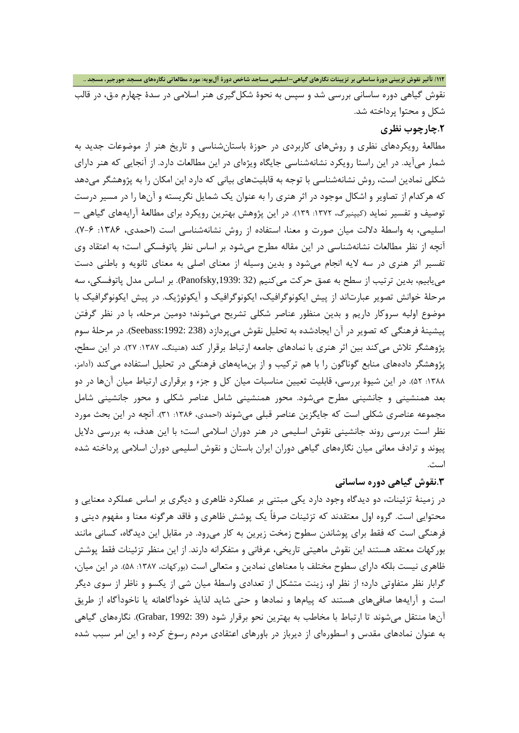نقوش گیاهی دوره ساسانی بررسی شد و سپس به نحوة شکلگیري هنر اسلامی در سدة چهارم ه.ق، در قالب شکل و محتوا پرداخته شد.

## **.2چارچوب نظري**

مطالعۀ رویکردهاي نظري و روشهاي کاربردي در حوزة باستانشناسی و تاریخ هنر از موضوعات جدید به شمار میآید. در این راستا رویکرد نشانهشناسی جایگاه ویژهاي در این مطالعات دارد. از آنجایی که هنر داراي شکلی نمادین است، روش نشانهشناسی با توجه به قابلیتهاي بیانی که دارد این امکان را به پژوهشگر میدهد که هرکدام از تصاویر و اشکال موجود در اثر هنري را به عنوان یک شمایل نگریسته و آنها را در مسیر درست توصیف و تفسیر نماید (کیپنیرگ، :1372 139). در این پژوهش بهترین رویکرد براي مطالعۀ آرایههاي گیاهی – اسلیمی، به واسطۀ دلالت میان صورت و معنا، استفاده از روش نشانهشناسی است (احمدي، :1386 7-6). آنچه از نظر مطالعات نشانهشناسی در این مقاله مطرح میشود بر اساس نظر پاتوفسکی است؛ به اعتقاد وي تفسیر اثر هنري در سه لایه انجام میشود و بدین وسیله از معناي اصلی به معناي ثانویه و باطنی دست مییابیم، بدین ترتیب از سطح به عمق حرکت میکنیم (32 ,1939:Panofsky(. بر اساس مدل پاتوفسکی، سه مرحلۀ خوانش تصویر عبارتاند از پیش ایکونوگرافیک، ایکونوگرافیک و آیکوئوژیک. در پیش ایکونوگرافیک با موضوع اولیه سروکار داریم و بدین منظور عناصر شکلی تشریح میشوند؛ دومین مرحله، با در نظر گرفتن پیشینۀ فرهنگی که تصویر در آن ایجادشده به تحلیل نقوش میپردازد (238 :1992:Seebass(. در مرحلۀ سوم پژوهشگر تلاش می کند بین اثر هنري با نمادهاي جامعه ارتباط برقرار کند (هنینگ، ۱۳۸۷: ۲۷). در این سطح، پژوهشگر دادههاي منابع گوناگون را با هم ترکیب و از بنمایههاي فرهنگی در تحلیل استفاده میکند (آدامز، :1388 52). در این شیوة بررسی، قابلیت تعیین مناسبات میان کل و جزء و برقراري ارتباط میان آنها در دو بعد همنشینی و جانشینی مطرح میشود. محور همنشینی شامل عناصر شکلی و محور جانشینی شامل مجموعه عناصري شکلي است که جایگزین عناصر قبلی میشوند (احمدي، ۱۳۸۶: ۳۱). آنچه در این بحث مورد نظر است بررسی روند جانشینی نقوش اسلیمی در هنر دوران اسلامی است؛ با این هدف، به بررسی دلایل پیوند و ترادف معانی میان نگارههاي گیاهی دوران ایران باستان و نقوش اسلیمی دوران اسلامی پرداخته شده است.

## **.3نقوش گیاهی دوره ساسانی**

در زمینۀ تزئینات، دو دیدگاه وجود دارد یکی مبتنی بر عملکرد ظاهري و دیگري بر اساس عملکرد معنایی و محتوایی است. گروه اول معتقدند که تزئینات صرفاً یک پوشش ظاهري و فاقد هرگونه معنا و مفهوم دینی و فرهنگی است که فقط براي پوشاندن سطوح زمخت زیرین به کار میرود. در مقابل این دیدگاه، کسانی مانند بورکهات معتقد هستند این نقوش ماهیتی تاریخی، عرفانی و متفکرانه دارند. از این منظر تزئینات فقط پوشش ظاهري نیست بلکه داراي سطوح مختلف با معناهاي نمادین و متعالی است (بورکهات، ۱۳۸۷: ۵۸). در این میان، گرابار نظر متفاوتی دارد؛ از نظر او، زینت متشکل از تعدادي واسطۀ میان شی از یکسو و ناظر از سوي دیگر است و آرایهها صافیهاي هستند که پیامها و نمادها و حتی شاید لذایذ خودآگاهانه یا ناخودآگاه از طریق آنها منتقل میشوند تا ارتباط با مخاطب به بهترین نحو برقرار شود (39 1992: ,Grabar(. نگارههاي گیاهی به عنوان نمادهاي مقدس و اسطورهاي از دیرباز در باورهاي اعتقادي مردم رسوخ کرده و این امر سبب شده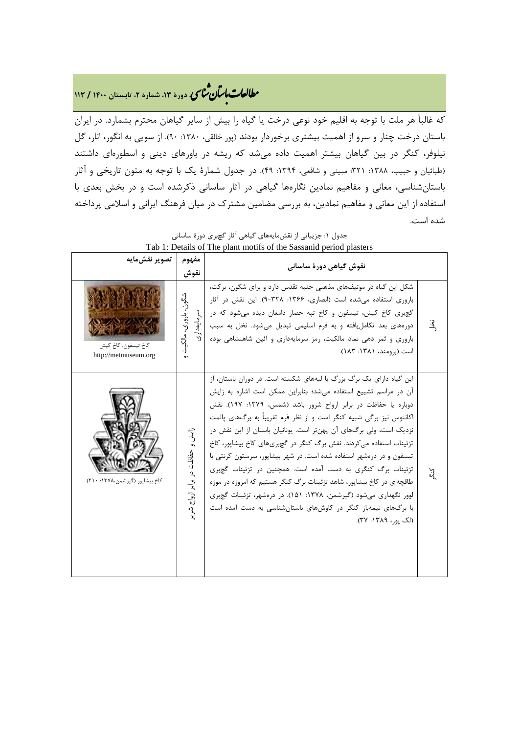# **، دورة ،13 شمارة ،2 تابستان <sup>1400</sup> / <sup>113</sup>** �نا� �طا ی �عات با�تان

که غالباً هر ملت با توجه به اقلیم خود نوعی درخت یا گیاه را بیش از سایر گیاهان محترم بشمارد. در ایران باستان درخت چنار و سرو از اهمیت بیشتري برخوردار بودند (پور خالقی، :1380 90). از سویی به انگور، انار، گل نیلوفر، کنگر در بین گیاهان بیشتر اهمیت داده میشد که ریشه در باورهاي دینی و اسطورهاي داشتند (طبائیان و حبیب، ۱۳۸۸: ۳۲۱؛ مبینی و شافعی، ۱۳۹۴: ۴۹). در جدول شمارهٔ یک با توجه به متون تاریخی و آثار باستانشناسی، معانی و مفاهیم نمادین نگارهها گیاهی در آثار ساسانی ذکرشده است و در بخش بعدي با استفاده از این معانی و مفاهیم نمادین، به بررسی مضامین مشترك در میان فرهنگ ایرانی و اسلامی پرداخته شده است.

| تصوير نقشمايه                               | مفهوم<br>نقوش                                               | نقوش گیاهی دورهٔ ساسانی                                                                                                                                                                                                                                                                                                                                                                                                                                                                                                                                                                                                                                                                                                                                                                                  |               |
|---------------------------------------------|-------------------------------------------------------------|----------------------------------------------------------------------------------------------------------------------------------------------------------------------------------------------------------------------------------------------------------------------------------------------------------------------------------------------------------------------------------------------------------------------------------------------------------------------------------------------------------------------------------------------------------------------------------------------------------------------------------------------------------------------------------------------------------------------------------------------------------------------------------------------------------|---------------|
| كاخ تيسفون، كاخ كيش<br>http://metmuseum.org | شگون، باروری، مالکیت<br>سرمايەدارى                          | شکل این گیاه در موتیفهای مذهبی جنبه تقدس دارد و برای شگون، برکت،<br>باروری استفاده میشده است (انصاری، ۱۳۶۶: ۹-۳۲۸). این نقش در آثار<br>گچبری کاخ کیش، تیسفون و کاخ تپه حصار دامغان دیده می شود که در<br>دورههای بعد تکامل یافته و به فرم اسلیمی تبدیل میشود. نخل به سبب<br>باروری و ثمر دهی نماد مالکیت، رمز سرمایهداری و آئین شاهنشاهی بوده<br>است (برومند، ۱۳۸۱: ۱۸۳).                                                                                                                                                                                                                                                                                                                                                                                                                                 | $\mathcal{F}$ |
| کاخ بیشاپور (گیرشمن،۱۳۷۸: ۲۱۰)              | ن<br>دانشه<br>$\sigma$<br>حفاظت در برابر ارواح<br>دي.<br>پر | این گیاه دارای یک برگ بزرگ با لبههای شکسته است. در دوران باستان، از<br>آن در مراسم تشییع استفاده میشد؛ بنابراین ممکن است اشاره به زایش<br>دوباره یا حفاظت در برابر ارواح شرور باشد (شمس، ۱۳۷۹: ۱۹۷). نقش<br>اکانتوس نیز برگی شبیه کنگر است و از نظر فرم تقریباً به برگهای پالمت<br>نزدیک است، ولی برگهای آن پهنتر است. یونانیان باستان از این نقش در<br>تزئینات استفاده می کردند. نقش برگ کنگر در گچبریهای کاخ بیشاپور، کاخ<br>تیسفون و در درمشهر استفاده شده است. در شهر بیشاپور، سرستون کرنتی با<br>تزئینات برگ کنگری به دست آمده است. همچنین در تزئینات گچبری<br>طاقچهای در کاخ بیشاپور، شاهد تزئینات برگ کنگر هستیم که امروزه در موزه<br>لوور نگهداری می شود (گیر شمن، ۱۳۷۸: ۱۵۱). در در مشهر، تزئینات گچبری<br>با برگهای نیمهباز کنگر در کاوشهای باستانشناسی به دست آمده است<br>(لک یو,، ۱۳۸۹: ۳۷). | 넚             |

#### جدول :1 جزییاتی از نقشمایههاي گیاهی آثار گچبري دورة ساسانی Tab 1: Details of The plant motifs of the Sassanid period plasters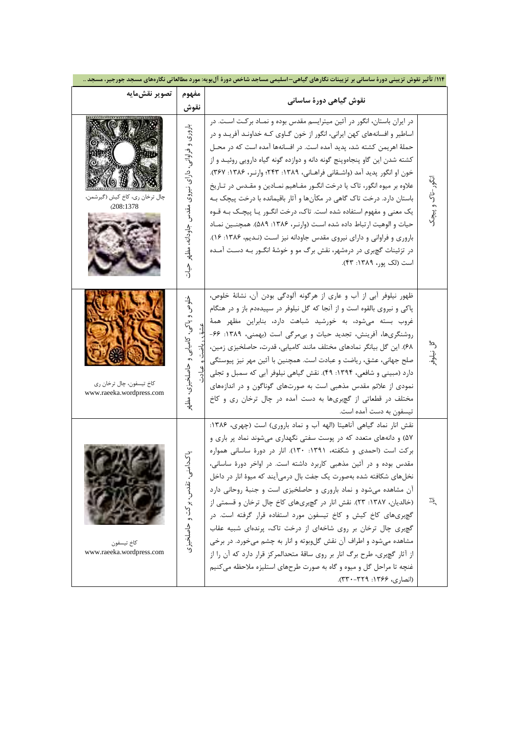| ۱۱۴/ تأثیر نقوش تزیینی دورهٔ ساسانی بر تزیینات نگارهای گیاهی-اسلیمی مساجد شاخص دورهٔ آلبویه: مورد مطالعاتی نگارههای مسجد جورجیر، مسجد |                                                                                       |                                                                                                                                                                                                                                                                                                                                                                                                                                                                                                                                                                                                                                                                                                                                                                                                                                                                                          |                       |  |  |  |  |
|---------------------------------------------------------------------------------------------------------------------------------------|---------------------------------------------------------------------------------------|------------------------------------------------------------------------------------------------------------------------------------------------------------------------------------------------------------------------------------------------------------------------------------------------------------------------------------------------------------------------------------------------------------------------------------------------------------------------------------------------------------------------------------------------------------------------------------------------------------------------------------------------------------------------------------------------------------------------------------------------------------------------------------------------------------------------------------------------------------------------------------------|-----------------------|--|--|--|--|
| تصوير نقشمايه                                                                                                                         | مفهوم<br>نقوش                                                                         | نقوش گیاهی دورهٔ ساسانی                                                                                                                                                                                                                                                                                                                                                                                                                                                                                                                                                                                                                                                                                                                                                                                                                                                                  |                       |  |  |  |  |
| چال ترخان ري، كاخ كيش (گيرشمن،<br>(208:1378                                                                                           | باروری<br>و فراوانی،<br>داری<br>نيروى<br>مۇدىر<br>ر<br>جاودانه، مظهر<br>$\frac{3}{2}$ | در ایران باستان، انگور در آئین میترایسم مقدس بوده و نمـاد برکـت اسـت. در<br>اساطیر و افسانههای کهن ایرانی، انگور از خون گــاوی کــه خداونــد آفریــد و در<br>حملهٔ اهریمن کشته شد، پدید آمده است. در افسانهها آمده است که در محـل<br>کشته شدن این گاو پنجاهوپنج گونه دانه و دوازده گونه گیاه دارویی روئیـد و از<br>خون او انگور پدید آمد (واشــقانی فراهــانی، ۱۳۸۹: ۲۴۳؛ وارنــر، ۱۳۸۶: ۳۶۷).<br>علاوه بر میوه انگور، تاک یا درخت انگـور مفـاهیم نمـادین و مقـدس در تـاریخ<br>باستان دارد. درخت تاک گاهی در مکآنها و آثار باقیمانده با درخت پیچک بـه<br>یک معنی و مفهوم استفاده شده است. تاک، درخت انگـور یـا پیچـک بـه قـوه<br>حيات و الوهيت ارتباط داده شده است (وارنـر، ١٣٨۶: ۵۸۹). همچنـين نمـاد<br>باروری و فراوانی و دارای نیروی مقدس جاودانه نیز است (نـدیم، ۱۳۸۶: ۱۶).<br>در تزئینات گچبری در درمشهر، نقش برگ مو و خوشهٔ انگــور بــه دســت آمــده<br>است (لک پور، ۱۳۸۹: ۴۳).   | ننگور-ٺاک<br>. و پيچک |  |  |  |  |
| كاخ تيسفون، چال ترخان ري<br>www.raeeka.wordpress.com                                                                                  | خلوس<br>م<br>$\vec{b}$<br>كاميابي و حاصلخيزي،                                         | ظهور نیلوفر آبی از آب و عاری از هرگونه آلودگی بودن آن، نشانهٔ خلوص،<br>پاکی و نیروی بالقوه است و از آنجا که گل نیلوفر در سپیدهدم باز و در هنگام<br>غروب بسته میشود، به خورشید شباهت دارد، بنابراین مظهر همهٔ<br>روشنگریها، آفرینش، تجدید حیات و بی مرگی است (بهمنی، ۱۳۸۹: ۶۶-<br>۶۸). این گل بیانگر نمادهای مختلف مانند کامیابی، قدرت، حاصلخیزی زمین،<br>صلح جهاني، عشق، رياضت و عبادت است. همچنين با آئين مهر نيز پيوستگي<br>دارد (مبینی و شافعی، ۱۳۹۴: ۴۹). نقش گیاهی نیلوفر آبی که سمبل و تجلی<br>نمودی از علائم مقدس مذهبی است به صورتهای گوناگون و در اندازههای<br>مختلف در قطعاتی از گچبریها به دست آمده در چال ترخان ری و کاخ<br>تیسفون به دست آمده است.                                                                                                                                                                                                                          | ىي<br>ن<br>جار        |  |  |  |  |
| كاخ تيسفون<br>www.raeeka.wordpress.com                                                                                                | ヷ゚<br>$\int$<br>تقدس، بركت و حاصلخيزي                                                 | نقش انار نماد گیاهی آناهیتا (الهه آب و نماد باروری) است (چهری، ۱۳۸۶:<br>۵۷) و دانههای متعدد که در پوست سفتی نگهداری میشوند نماد پر باری و<br>بركت است (احمدى و شكفته، ١٣٩١: ١٣٠). انار در دورهٔ ساسانى همواره<br>مقدس بوده و در آئین مذهبی کاربرد داشته است. در اواخر دورهٔ ساسانی،<br>نخلهای شکافته شده بهصورت یک جفت بال درمیآیند که میوهٔ انار در داخل<br>آن مشاهده میشود و نماد باروری و حاصلخیزی است و جنبهٔ روحانی دارد<br>(خالدیان، ۱۳۸۷: ۲۳). نقش انار در گچبریهای کاخ چال ترخان و قسمتی از<br>گچبریهای کاخ کیش و کاخ تیسفون مورد استفاده قرار گرفته است. در<br>گچبری چال ترخان بر روی شاخهای از درخت تاک، پرندهای شبیه عقاب<br>مشاهده میشود و اطراف آن نقش گلوبوته و انار به چشم میخورد. در برخی<br>از آثار گچبری، طرح برگ انار بر روی ساقهٔ متحدالمرکز قرار دارد که آن را از<br>غنچه تا مراحل گل و میوه و گاه به صورت طرحهای استلیزه ملاحظه میکنیم<br>(انصاری، ۱۳۶۶: ۳۳۹-۳۳۰). | 亘                     |  |  |  |  |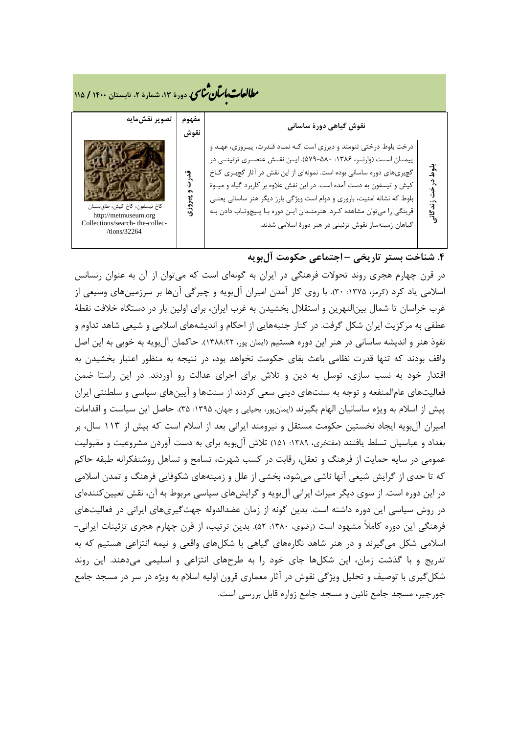# **، دورة ،13 شمارة ،2 تابستان <sup>1400</sup> / <sup>115</sup>** �نا� �طا ی �عات با�تان

| تصوير نقشمايه                                                                                            | مفهوم<br>نقوش | نقوش گیاهی دورهٔ ساسانی                                                                                                                                                                                                                                                                                                                                                                                                                                                                          |                                                     |
|----------------------------------------------------------------------------------------------------------|---------------|--------------------------------------------------------------------------------------------------------------------------------------------------------------------------------------------------------------------------------------------------------------------------------------------------------------------------------------------------------------------------------------------------------------------------------------------------------------------------------------------------|-----------------------------------------------------|
| كاخ تيسفون، كاخ كيش، طاق بستان<br>http://metmuseum.org<br>Collections/search-the-collec-<br>/tions/32264 | وژي           | درخت بلوط درختی تنومند و دیرزی است کـه نمـاد قـدرت، پیـروزی، عهـد و<br>پیمـان اسـت (وارنـر، ۱۳۸۶: ۵۷۰-۵۷۹). ایـن نقـش عنصـری تزئینـی در<br>گچبریهای دوره ساسانی بوده است. نمونهای از این نقش در آثار گچبری کاخ<br>کیش و تیسفون به دست آمده است. در این نقش علاوه بر کاربرد گیاه و میـوهٔ<br>بلوط که نشانه امنیت، باروری و دوام است ویژگی بارز دیگر هنر ساسانی یعنے<br>قرینگی را میتوان مشاهده کرد. هنرمندان این دوره با پیچوتاب دادن به<br>گیاهان زمینهساز نقوش تزئینی در هنر دورهٔ اسلامی شدند. | بلو<br>بلو<br>$\cdot$ <sup>2</sup><br>ن زندگان<br>ا |

## **.4 شناخت بستر تاریخی – اجتماعی حکومت آلبویه**

در قرن چهارم هجري روند تحولات فرهنگی در ایران به گونهاي است که میتوان از آن به عنوان رنسانس اسلامی یاد کرد (کرمز، ۱۳۷۵: ۳۰). با روی کار آمدن امیران آلبویه و چیرگی آنها بر سرزمینهای وسیعی از غرب خراسان تا شمال بینالنهرین و استقلال بخشیدن به غرب ایران، براي اولین بار در دستگاه خلافت نقطۀ عطفی به مرکزیت ایران شکل گرفت. در کنار جنبههایی از احکام و اندیشههاي اسلامی و شیعی شاهد تداوم و نفوذ هنر و اندیشه ساسانی در هنر این دوره هستیم (ایمان پور، 1388:22). حاکمان آلبویه به خوبی به این اصل واقف بودند که تنها قدرت نظامی باعث بقاي حکومت نخواهد بود، در نتیجه به منظور اعتبار بخشیدن به اقتدار خود به نسب سازي، توسل به دین و تلاش براي اجراي عدالت رو آوردند. در این راستا ضمن فعالیتهاي عامالمنفعه و توجه به سنتهاي دینی سعی کردند از سنتها و آیینهاي سیاسی و سلطنتی ایران پیش از اسلام به ویژه ساسانیان الهام بگیرند (ایمانپور، یحیایی و جهان، :1395 35). حاصل این سیاست و اقدامات امیران آلبویه ایجاد نخستین حکومت مستقل و نیرومند ایرانی بعد از اسلام است که بیش از 113 سال، بر بغداد و عباسیان تسلط یافتند (مفتخري، :1389 151) تلاش آلبویه براي به دست آوردن مشروعیت و مقبولیت عمومی در سایه حمایت از فرهنگ و تعقل، رقابت در کسب شهرت، تسامح و تساهل روشنفکرانه طبقه حاکم که تا حدي از گرایش شیعی آنها ناشی میشود، بخشی از علل و زمینههاي شکوفایی فرهنگ و تمدن اسلامی در این دوره است. از سوي دیگر میراث ایرانی آلبویه و گرایشهاي سیاسی مربوط به آن، نقش تعیینکنندهاي در روش سیاسی این دوره داشته است. بدین گونه از زمان عضدالدوله جهتگیريهاي ایرانی در فعالیتهاي فرهنگی این دوره کاملاً مشهود است (رضوي، :1380 52). بدین ترتیب، از قرن چهارم هجري تزئینات ایرانی- اسلامی شکل میگیرند و در هنر شاهد نگارههاي گیاهی با شکلهاي واقعی و نیمه انتزاعی هستیم که به تدریج و با گذشت زمان، این شکلها جاي خود را به طرحهاي انتزاعی و اسلیمی میدهند. این روند شکلگیري با توصیف و تحلیل ویژگی نقوش در آثار معماري قرون اولیه اسلام به ویژه در سر در مسجد جامع جورجیر، مسجد جامع نائین و مسجد جامع زواره قابل بررسی است.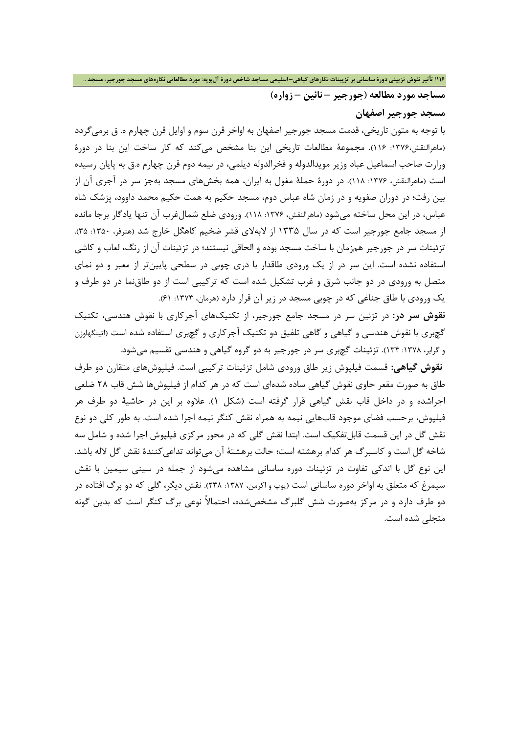**مساجد مورد مطالعه (جورجیر – نائین – زواره)**

**مسجد جورجیر اصفهان**

با توجه به متون تاریخی، قدمت مسجد جورجیر اصفهان به اواخر قرن سوم و اوایل قرن چهارم ه. ق برمیگردد (ماهرالنقش:1376، 116). مجموعۀ مطالعات تاریخی این بنا مشخص میکند که کار ساخت این بنا در دورة وزارت صاحب اسماعیل عباد وزیر مویدالدوله و فخرالدوله دیلمی، در نیمه دوم قرن چهارم ه.ق به پایان رسیده است (ماهرالنقش، ۱۳۷۶: ۱۱۸). در دورۀ حملۀ مغول به ایران، همه بخشهای مسجد بهجز سر در آجری آن از بین رفت؛ در دوران صفویه و در زمان شاه عباس دوم، مسجد حکیم به همت حکیم محمد داوود، پزشک شاه عباس، در این محل ساخته میشود (ماهرالنقش، ۱۳۷۶: ۱۱۸). ورودی ضلع شمالغرب آن تنها یادگار برجا مانده از مسجد جامع جورجیر است که در سال 1335 از لابهلاي قشر ضخیم کاهگل خارج شد (هنرفر، :1350 35). تزئینات سر در جورجیر همزمان با ساخت مسجد بوده و الحاقی نیستند؛ در تزئینات آن از رنگ، لعاب و کاشی استفاده نشده است. این سر در از یک ورودي طاقدار با دري چوبی در سطحی پایینتر از معبر و دو نماي متصل به ورودي در دو جانب شرق و غرب تشکیل شده است که ترکیبی است از دو طاقنما در دو طرف و یک ورودی با طاق جناغی که در چوبی مسجد در زیر آن قرار دارد (هرمان، ١٣٧٣: ۶۱).

**نقوش سر در:** در تزئین سر در مسجد جامع جورجیر، از تکنیکهاي آجرکاري با نقوش هندسی، تکنیک گچبري با نقوش هندسی و گیاهی و گاهی تلفیق دو تکنیک آجرکاري و گچبري استفاده شده است (اتینگهاوزن و گرابر، :1378 134). تزئینات گچبري سر در جورجیر به دو گروه گیاهی و هندسی تقسیم میشود.

**نقوش گیاهی:** قسمت فیلپوش زیر طاق ورودي شامل تزئینات ترکیبی است. فیلپوشهاي متقارن دو طرف طاق به صورت مقعر حاوي نقوش گیاهی ساده شدهاي است که در هر کدام از فیلپوشها شش قاب 28 ضلعی اجراشده و در داخل قاب نقش گیاهی قرار گرفته است (شکل 1). علاوه بر این در حاشیۀ دو طرف هر فیلپوش، برحسب فضاي موجود قابهایی نیمه به همراه نقش کنگر نیمه اجرا شده است. به طور کلی دو نوع نقش گل در این قسمت قابلتفکیک است. ابتدا نقش گلی که در محور مرکزي فیلپوش اجرا شده و شامل سه شاخه گل است و کاسبرگ هر کدام برهشته است؛ حالت برهشتۀ آن میتواند تداعیکنندة نقش گل لاله باشد. این نوع گل با اندکی تفاوت در تزئینات دوره ساسانی مشاهده میشود از جمله در سینی سیمین با نقش سیمرغ که متعلق به اواخر دوره ساسانی است (پوپ و اکرمن، :1387 238). نقش دیگر، گلی که دو برگ افتاده در دو طرف دارد و در مرکز بهصورت شش گلبرگ مشخصشده، احتمالاً نوعی برگ کنگر است که بدین گونه متجلی شده است.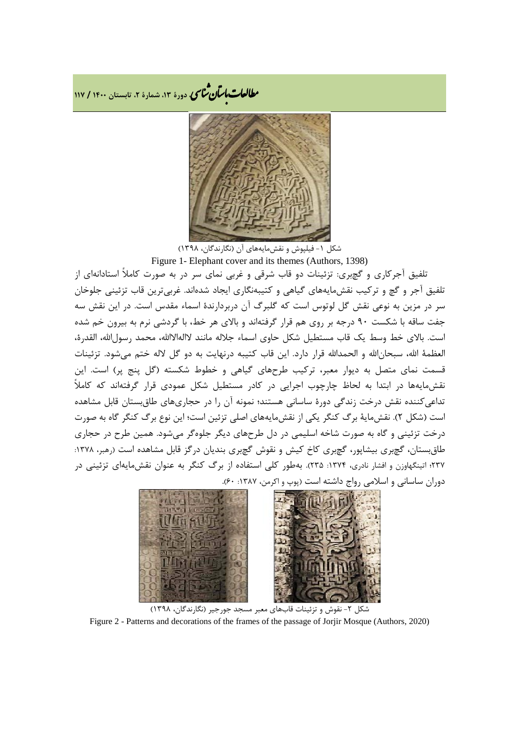**، دورة ،13 شمارة ،2 تابستان <sup>1400</sup> / <sup>117</sup>** �نا� �طا ی �عات با�تان



شکل ۱- فیلپوش و نقش،ایههای آن (نگارندگان، ۱۳۹۸)

Figure 1- Elephant cover and its themes (Authors, 1398) تلفیق آجرکاري و گچبري: تزئینات دو قاب شرقی و غربی نماي سر در به صورت کاملاً استادانهاي از تلفیق آجر و گچ و ترکیب نقشمایههاي گیاهی و کتیبهنگاري ایجاد شدهاند. غربیترین قاب تزئینی جلوخان سر در مزین به نوعی نقش گل لوتوس است که گلبرگ آن دربردارندة اسماء مقدس است. در این نقش سه جفت ساقه با شکست 90 درجه بر روي هم قرار گرفتهاند و بالاي هر خط، با گردشی نرم به بیرون خم شده است. بالاي خط وسط یک قاب مستطیل شکل حاوي اسماء جلاله مانند لاالهالاالله، محمد رسول الله، القدرة، العظمۀ االله، سبحاناالله و الحمداالله قرار دارد. این قاب کتیبه درنهایت به دو گل لاله ختم میشود. تزئینات قسمت نماي متصل به دیوار معبر، ترکیب طرحهاي گیاهی و خطوط شکسته (گل پنج پر) است. این نقشمایهها در ابتدا به لحاظ چارچوب اجرایی در کادر مستطیل شکل عمودي قرار گرفتهاند که کاملاً تداعیکننده نقش درخت زندگی دورة ساسانی هستند؛ نمونه آن را در حجاريهاي طاقبستان قابل مشاهده است (شکل 2). نقشمایۀ برگ کنگر یکی از نقشمایههاي اصلی تزئین است؛ این نوع برگ کنگر گاه به صورت درخت تزئینی و گاه به صورت شاخه اسلیمی در دل طرحهاي دیگر جلوهگر میشود. همین طرح در حجاري طاق بستان، گچبري بیشاپور، گچبري کاخ کیش و نقوش گچبري بندیان درگز قابل مشاهده است (رهبر، ۱۳۷۸: 237؛ اتینگهاوزن و افشار نادري، :1374 235). بهطور کلی استفاده از برگ کنگر به عنوان نقشمایهاي تزئینی در دوران ساسانی و اسلامی رواج داشته است (پوپ و اکرمن، ۱۳۸۷: ۶۰).



شکل ۲- نقوش و تزئینات قابهای معبر مسجد جورجیر (نگارندگان، ۱۳۹۸) Figure 2 - Patterns and decorations of the frames of the passage of Jorjir Mosque (Authors, 2020)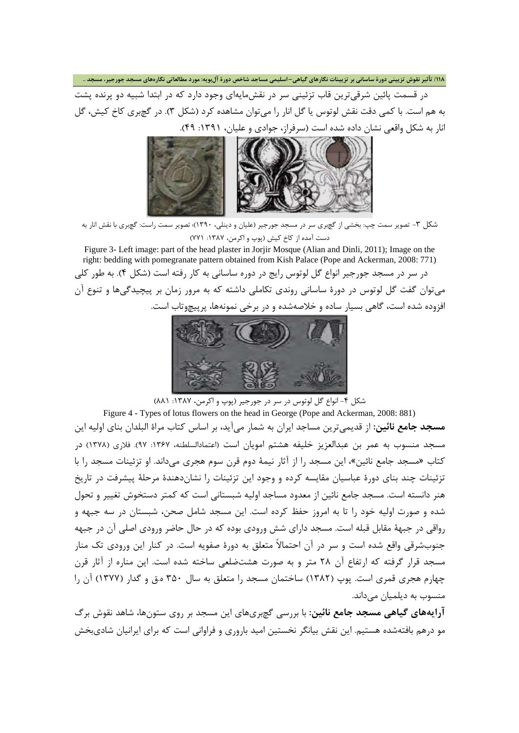۱۱۸/ تأثیر نقوش تزیینی دورهٔ ساسانی بر تزیینات نگارهای گیاهی–اسلیمی مساجد شاخص دورهٔ آلبویه: مورد مطالعاتی نگارههای مسجد جورجیر، مسجد ..

در قسمت پائین شرقیترین قاب تزئینی سر در نقشمایهاي وجود دارد که در ابتدا شبیه دو پرنده پشت به هم است. با کمی دقت نقش لوتوس یا گل انار را میتوان مشاهده کرد (شکل 3). در گچبري کاخ کیش، گل انار به شکل واقعی نشان داده شده است (سرفراز، جوادي و علیان، :1391 49).



شکل ۳- تصویر سمت چپ: بخشی از گچبری سر در مسجد جورجیر (علیان و دینلی، ۱۳۹۰)؛ تصویر سمت راست: گچبری با نقش انار به دست آمده از کاخ کیش (پوپ و اکرمن، :1387 771)

Figure 3- Left image: part of the head plaster in Jorjir Mosque (Alian and Dinli, 2011); Image on the right: bedding with pomegranate pattern obtained from Kish Palace (Pope and Ackerman, 2008: 771) در سر در مسجد جورجیر انواع گل لوتوس رایج در دوره ساسانی به کار رفته است (شکل 4). به طور کلی میتوان گفت گل لوتوس در دورة ساسانی روندي تکاملی داشته که به مرور زمان بر پیچیدگیها و تنوع آن افزوده شده است، گاهی بسیار ساده و خلاصهشده و در برخی نمونهها، پرپیچوتاب است.



شکل ۴- انواع گل لوتوس در سر در جورجیر (پوپ و اکرمن، ۱۳۸۷: ۸۸۱)

Figure 4 - Types of lotus flowers on the head in George (Pope and Ackerman, 2008: 881) **مسجد جامع نائین:** از قدیمیترین مساجد ایران به شمار میآید، بر اساس کتاب مراة البلدان بناي اولیه این مسجد منسوب به عمر بن عبدالعزیز خلیفه هشتم امویان است (اعتمادالسلطنه، :1367 97). فلاري (1378) در کتاب «مسجد جامع نائین»، این مسجد را از آثار نیمۀ دوم قرن سوم هجري میداند. او تزئینات مسجد را با تزئینات چند بناي دورة عباسیان مقایسه کرده و وجود این تزئینات را نشاندهندة مرحلۀ پیشرفت در تاریخ هنر دانسته است. مسجد جامع نائین از معدود مساجد اولیه شبستانی است که کمتر دستخوش تغییر و تحول شده و صورت اولیه خود را تا به امروز حفظ کرده است. این مسجد شامل صحن، شبستان در سه جبهه و رواقی در جبهۀ مقابل قبله است. مسجد داراي شش ورودي بوده که در حال حاضر ورودي اصلی آن در جبهه جنوبشرقی واقع شده است و سر در آن احتمالاً متعلق به دورة صفویه است. در کنار این ورودي تک منار مسجد قرار گرفته که ارتفاع آن 28 متر و به صورت هشتضلعی ساخته شده است. این مناره از آثار قرن چهارم هجري قمري است. پوپ (1382) ساختمان مسجد را متعلق به سال 350 ه.ق و گدار (1377) آن را منسوب به دیلمیان میداند.

**آرایههاي گیاهی مسجد جامع نائین:** با بررسی گچبريهاي این مسجد بر روي ستونها، شاهد نقوش برگ مو درهم بافتهشده هستیم. این نقش بیانگر نخستین امید باروري و فراوانی است که براي ایرانیان شاديبخش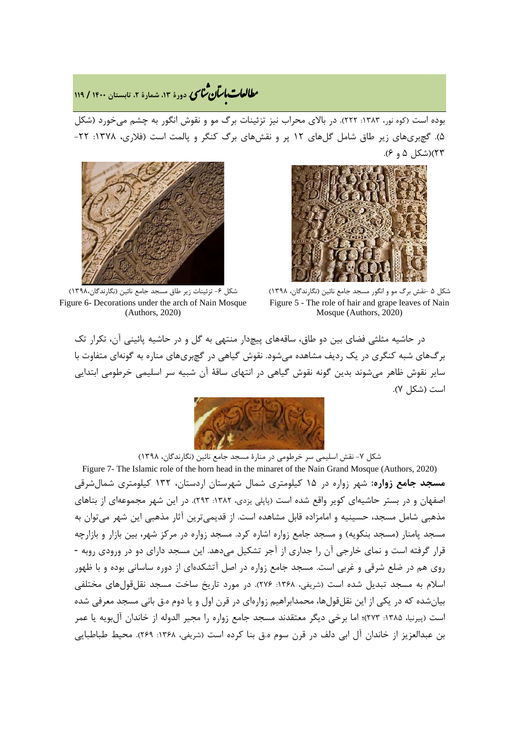## **، دورة ،13 شمارة ،2 تابستان <sup>1400</sup> / <sup>119</sup>** �نا� �طا ی �عات با�تان

بوده است (کوه نور، :1383 222). در بالاي محراب نیز تزئینات برگ مو و نقوش انگور به چشم میخورد (شکل 5). گچبريهاي زیر طاق شامل گلهاي 12 پر و نقشهاي برگ کنگر و پالمت است (فلاري، :1378 -22 23)(شکل 5 و 6).





شکل ۶- تزئینات زیر طاق مسجد جامع نائین (نگارندگان،۱۳۹۸) Figure 6- Decorations under the arch of Nain Mosque (Authors, 2020)

شکل 5 -نقش برگ مو و انگور مسجد جامع نائین (نگارندگان، 1398) Figure 5 - The role of hair and grape leaves of Nain Mosque (Authors, 2020)

در حاشیه مثلثی فضاي بین دو طاق، ساقههاي پیچدار منتهی به گل و در حاشیه پائینی آن، تکرار تک برگهاي شبه کنگري در یک ردیف مشاهده میشود. نقوش گیاهی در گچبريهاي مناره به گونهاي متفاوت با سایر نقوش ظاهر میشوند بدین گونه نقوش گیاهی در انتهاي ساقۀ آن شبیه سر اسلیمی خرطومی ابتدایی است (شکل 7).



شکل ۷- نقش اسلیمی سر خرطومی در منارهٔ مسجد جامع نائین (نگارندگان، ۱۳۹۸)

Figure 7- The Islamic role of the horn head in the minaret of the Nain Grand Mosque (Authors, 2020) **مسجد جامع زواره:** شهر زواره در 15 کیلومتري شمال شهرستان اردستان، 132 کیلومتري شمالشرقی اصفهان و در بستر حاشیهاي کویر واقع شده است (پاپلی یزدي، :1382 293). در این شهر مجموعهاي از بناهاي مذهبی شامل مسجد، حسینیه و امامزاده قابل مشاهده است. از قدیمیترین آثار مذهبی این شهر میتوان به مسجد پامنار (مسجد بنکویه) و مسجد جامع زواره اشاره کرد. مسجد زواره در مرکز شهر، بین بازار و بازارچه قرار گرفته است و نماي خارجی آن را جداري از آجر تشکیل میدهد. این مسجد داراي دو در ورودي روبه - روي هم در ضلع شرقی و غربی است. مسجد جامع زواره در اصل آتشکدهاي از دوره ساسانی بوده و با ظهور اسلام به مسجد تبدیل شده است (شریفی، ۱۳۶۸: ۲۷۶). در مورد تاریخ ساخت مسجد نقلقولهای مختلفی بیانشده که در یکی از این نقلقولها، محمدابراهیم زوارهاي در قرن اول و یا دوم ه.ق بانی مسجد معرفی شده است (پیرنیا، ۱۳۸۵: ۲۷۳)؛ اما برخی دیگر معتقدند مسجد جامع زواره را مجیر الدوله از خاندان آلبویه یا عمر بن عبدالعزیز از خاندان آل ابی دلف در قرن سوم ه.ق بنا کرده است (شریفی، :1368 269). محیط طباطبایی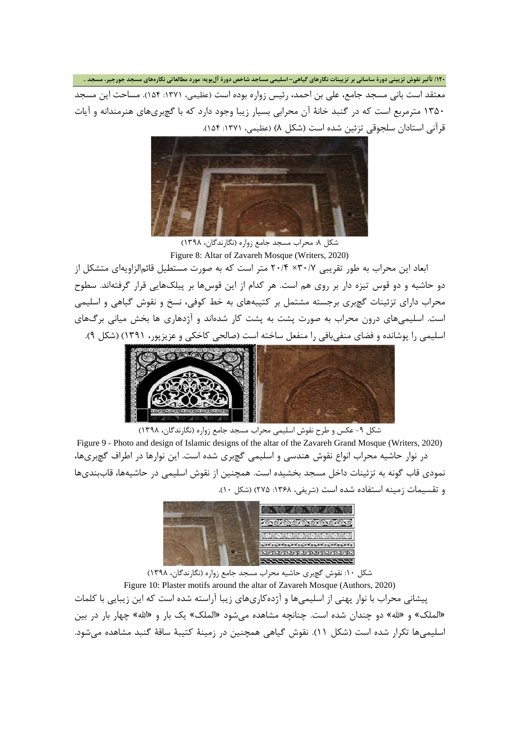۱۲۰/ تأثیر نقوش تزیینی دورهٔ ساسانی بر تزیینات نگارهای گیاهی–اسلیمی مساجد شاخص دورهٔ آلبویه: مورد مطالعاتی نگارههای مسجد جورجیر، مسجد .. معتقد است بانی مسجد جامع، علی بن احمد، رئیس زواره بوده است (عظیمی، :1371 154). مساحت این مسجد 1350 مترمربع است که در گنبد خانۀ آن محرابی بسیار زیبا وجود دارد که با گچبريهاي هنرمندانه و آیات قرآنی استادان سلجوقی تزئین شده است (شکل 8) (عظیمی، :1371 154).



شکل ۸: محراب مسجد جامع زواره (نگارندگان، ۱۳۹۸) Figure 8: Altar of Zavareh Mosque (Writers, 2020)

ابعاد این محراب به طور تقریبی 30/7× 20/4 متر است که به صورت مستطیل قائمالزاویهاي متشکل از دو حاشیه و دو قوس تیزه دار بر روي هم است. هر کدام از این قوسها بر پیلکهایی قرار گرفتهاند. سطوح محراب داراي تزئینات گچبري برجسته مشتمل بر کتیبههاي به خط کوفی، نسخ و نقوش گیاهی و اسلیمی است. اسلیمیهاي درون محراب به صورت پشت به پشت کار شدهاند و آژدهاري ها بخش میانی برگهاي اسلیمی را پوشانده و فضاي منفیبافی را منفعل ساخته است (صالحی کاخکی و عزیزپور، 1391) (شکل 9).



شکل -9 عکس و طرح نقوش اسلیمی محراب مسجد جامع زواره (نگارندگان، 1398) Figure 9 - Photo and design of Islamic designs of the altar of the Zavareh Grand Mosque (Writers, 2020) در نوار حاشیه محراب انواع نقوش هندسی و اسلیمی گچبري شده است. این نوارها در اطراف گچبريها، نمودي قاب گونه به تزئینات داخل مسجد بخشیده است. همچنین از نقوش اسلیمی در حاشیهها، قاببنديها و تقسیمات زمینه استفاده شده است (شریفی، :1368 275) (شکل 10).



شکل :10 نقوش گچبري حاشیه محراب مسجد جامع زواره (نگارندگان، 1398) Figure 10: Plaster motifs around the altar of Zavareh Mosque (Authors, 2020) پیشانی محراب با نوار پهنی از اسلیمیها و آژدهکاريهاي زیبا آراسته شده است که این زیبایی با کلمات «الملک» و «الله» دو چندان شده است. چنانچه مشاهده میشود «الملک» یک بار و «االله» چهار بار در بین اسلیمیها تکرار شده است (شکل 11). نقوش گیاهی همچنین در زمینۀ کتیبۀ ساقۀ گنبد مشاهده میشود.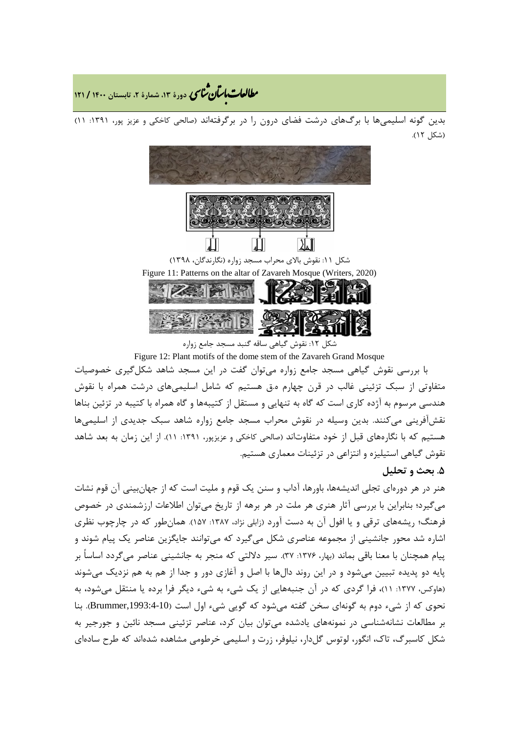**، دورة ،13 شمارة ،2 تابستان <sup>1400</sup> / <sup>121</sup>** �نا� �طا ی �عات با�تان

بدین گونه اسلیمیها با برگهاي درشت فضاي درون را در برگرفتهاند (صالحی کاخکی و عزیز پور، :1391 11) (شکل 12).



شکل :12 نقوش گیاهی ساقه گنبد مسجد جامع زواره

Figure 12: Plant motifs of the dome stem of the Zavareh Grand Mosque

با بررسی نقوش گیاهی مسجد جامع زواره میتوان گفت در این مسجد شاهد شکلگیري خصوصیات متفاوتی از سبک تزئینی غالب در قرن چهارم ه.ق هستیم که شامل اسلیمیهاي درشت همراه با نقوش هندسی مرسوم به آژده کاري است که گاه به تنهایی و مستقل از کتیبهها و گاه همراه با کتیبه در تزئین بناها نقشآفرینی میکنند. بدین وسیله در نقوش محراب مسجد جامع زواره شاهد سبک جدیدي از اسلیمیها هستیم که با نگارههاي قبل از خود متفاوتاند (صالحی کاخکی و عزیزپور، :1391 11). از این زمان به بعد شاهد نقوش گیاهی استیلیزه و انتزاعی در تزئینات معماري هستیم.

## **.5 بحث و تحلیل**

هنر در هر دورهاي تجلی اندیشهها، باورها، آداب و سنن یک قوم و ملیت است که از جهانبینی آن قوم نشات میگیرد؛ بنابراین با بررسی آثار هنري هر ملت در هر برهه از تاریخ میتوان اطلاعات ارزشمندي در خصوص فرهنگ؛ ریشههاي ترقی و یا افول آن به دست آورد (زابلی نژاد، :1387 157). همانطور که در چارچوب نظري اشاره شد محور جانشینی از مجموعه عناصري شکل میگیرد که میتوانند جایگزین عناصر یک پیام شوند و پیام همچنان با معنا باقی بماند (بهار، :1376 37). سیر دلالتی که منجر به جانشینی عناصر میگردد اساساً بر پایه دو پدیده تبیین میشود و در این روند دالها با اصل و آغازي دور و جدا از هم به هم نزدیک میشوند (هاوکس، :1377 11)، فرا گردي که در آن جنبههایی از یک شیء به شیء دیگر فرا برده یا منتقل میشود، به نحوي که از شيء دوم به گونهاي سخن گفته مي شود که گويي شيء اول است (Brummer,1993:4-10). بنا بر مطالعات نشانهشناسی در نمونههاي یادشده میتوان بیان کرد، عناصر تزئینی مسجد نائین و جورجیر به شکل کاسبرگ، تاك، انگور، لوتوس گلدار، نیلوفر، زرت و اسلیمی خرطومی مشاهده شدهاند که طرح سادهاي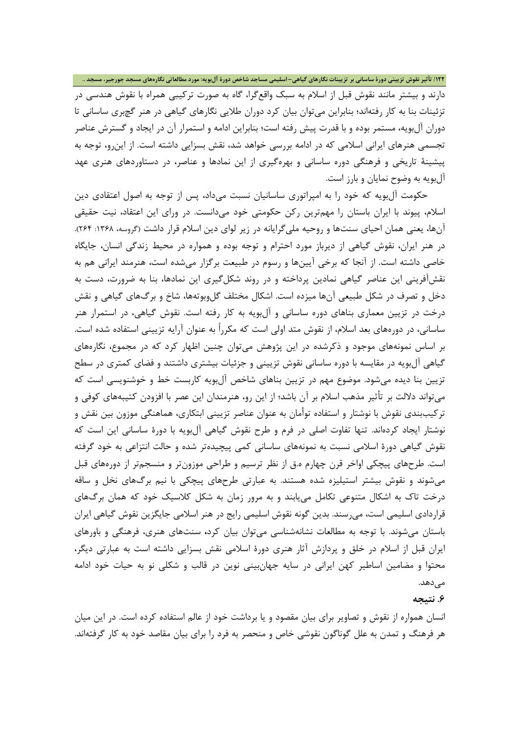دارند و بیشتر مانند نقوش قبل از اسلام به سبک واقعگرا، گاه به صورت ترکیبی همراه با نقوش هندسی در تزئینات بنا به کار رفتهاند؛ بنابراین میتوان بیان کرد دوران طلایی نگارهاي گیاهی در هنر گچبري ساسانی تا دوران آلبویه، مستمر بوده و با قدرت پیش رفته است؛ بنابراین ادامه و استمرار آن در ایجاد و گسترش عناصر تجسمی هنرهاي ایرانی اسلامی که در ادامه بررسی خواهد شد، نقش بسزایی داشته است. از اینرو، توجه به پیشینۀ تاریخی و فرهنگی دوره ساسانی و بهرهگیري از این نمادها و عناصر، در دستاوردهاي هنري عهد آلبویه به وضوح نمایان و بارز است.

حکومت آلبویه که خود را به امپراتوري ساسانیان نسبت میداد، پس از توجه به اصول اعتقادي دین اسلام، پیوند با ایران باستان را مهمترین رکن حکومتی خود میدانست. در وراي این اعتقاد، نیت حقیقی آنها، یعنی همان احیای سنتها و روحیه ملیگرایانه در زیر لوای دین اسلام قرار داشت (گروسه، ۱۳۶۸: ۲۶۴). در هنر ایران، نقوش گیاهی از دیرباز مورد احترام و توجه بوده و همواره در محیط زندگی انسان، جایگاه خاصی داشته است. از آنجا که برخی آیینها و رسوم در طبیعت برگزار میشده است، هنرمند ایرانی هم به نقشآفرینی این عناصر گیاهی نمادین پرداخته و در روند شکلگیري این نمادها، بنا به ضرورت، دست به دخل و تصرف در شکل طبیعی آنها میزده است. اشکال مختلف گلوبوتهها، شاخ و برگهاي گیاهی و نقش درخت در تزیین معماري بناهاي دوره ساسانی و آلبویه به کار رفته است. نقوش گیاهی، در استمرار هنر ساسانی، در دورههاي بعد اسلام، از نقوش متد اولی است که مکرراً به عنوان آرایه تزیینی استفاده شده است. بر اساس نمونههاي موجود و ذکرشده در این پژوهش میتوان چنین اظهار کرد که در مجموع، نگارههاي گیاهی آلبویه در مقایسه با دوره ساسانی نقوش تزیینی و جزئیات بیشتري داشتند و فضاي کمتري در سطح تزیین بنا دیده میشود. موضوع مهم در تزیین بناهاي شاخص آلبویه کاربست خط و خوشنویسی است که میتواند دلالت بر تأثیر مذهب اسلام بر آن باشد؛ از این رو، هنرمندان این عصر با افزودن کتیبههاي کوفی و ترکیببندي نقوش با نوشتار و استفاده توأمان به عنوان عناصر تزیینی ابتکاري، هماهنگی موزون بین نقش و نوشتار ایجاد کردهاند. تنها تفاوت اصلی در فرم و طرح نقوش گیاهی آلبویه با دورة ساسانی این است که نقوش گیاهی دورة اسلامی نسبت به نمونههاي ساسانی کمی پیچیدهتر شده و حالت انتزاعی به خود گرفته است. طرحهاي پیچکی اواخر قرن چهارم ه.ق از نظر ترسیم و طراحی موزونتر و منسجمتر از دورههاي قبل میشوند و نقوش بیشتر استیلیزه شده هستند. به عبارتی طرحهاي پیچکی با نیم برگهاي نخل و ساقه درخت تاك به اشکال متنوعی تکامل مییابند و به مرور زمان به شکل کلاسیک خود که همان برگهاي قراردادي اسلیمی است، میرسند. بدین گونه نقوش اسلیمی رایج در هنر اسلامی جایگزین نقوش گیاهی ایران باستان میشوند. با توجه به مطالعات نشانهشناسی میتوان بیان کرد**،** سنتهاي هنري، فرهنگی و باورهاي ایران قبل از اسلام در خلق و پردازش آثار هنري دورة اسلامی نقش بسزایی داشته است به عبارتی دیگر، محتوا و مضامین اساطیر کهن ایرانی در سایه جهانبینی نوین در قالب و شکلی نو به حیات خود ادامه می دهد.

**.6 نتیجه**

انسان همواره از نقوش و تصاویر براي بیان مقصود و یا برداشت خود از عالم استفاده کرده است. در این میان هر فرهنگ و تمدن به علل گوناگون نقوشی خاص و منحصر به فرد را براي بیان مقاصد خود به کار گرفتهاند.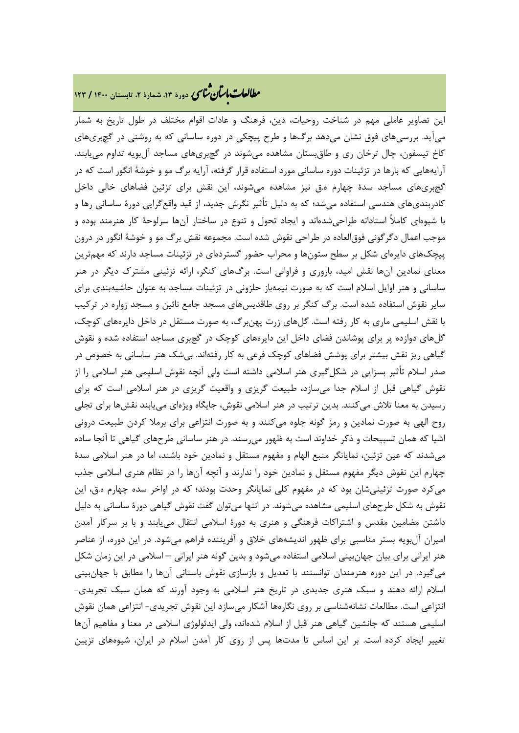# **، دورة ،13 شمارة ،2 تابستان <sup>1400</sup> / <sup>123</sup>** �نا� �طا ی �عات با�تان

این تصاویر عاملی مهم در شناخت روحیات، دین، فرهنگ و عادات اقوام مختلف در طول تاریخ به شمار میآید. بررسیهاي فوق نشان میدهد برگها و طرح پیچکی در دوره ساسانی که به روشنی در گچبريهاي کاخ تیسفون، چال ترخان ري و طاقبستان مشاهده میشوند در گچبريهاي مساجد آلبویه تداوم مییابند. آرایههایی که بارها در تزئینات دوره ساسانی مورد استفاده قرار گرفته، آرایه برگ مو و خوشۀ انگور است که در گچبريهاي مساجد سدة چهارم ه.ق نیز مشاهده میشوند، این نقش براي تزئین فضاهاي خالی داخل کادربنديهاي هندسی استفاده میشد؛ که به دلیل تأثیر نگرش جدید، از قید واقعگرایی دورة ساسانی رها و با شیوهاي کاملاً استادانه طراحیشدهاند و ایجاد تحول و تنوع در ساختار آنها سرلوحۀ کار هنرمند بوده و موجب اعمال دگرگونی فوقالعاده در طراحی نقوش شده است. مجموعه نقش برگ مو و خوشۀ انگور در درون پیچکهاي دایرهاي شکل بر سطح ستونها و محراب حضور گستردهاي در تزئینات مساجد دارند که مهمترین معناي نمادین آنها نقش امید، باروري و فراوانی است. برگهاي کنگر، ارائه تزئینی مشترك دیگر در هنر ساسانی و هنر اوایل اسلام است که به صورت نیمهباز حلزونی در تزئینات مساجد به عنوان حاشیهبندي براي سایر نقوش استفاده شده است. برگ کنگر بر روي طاقدیسهاي مسجد جامع نائین و مسجد زواره در ترکیب با نقش اسلیمی ماري به کار رفته است. گلهاي زرت پهنبرگ، به صورت مستقل در داخل دایرههاي کوچک، گلهاي دوازده پر براي پوشاندن فضاي داخل این دایرههاي کوچک در گچبري مساجد استفاده شده و نقوش گیاهی ریز نقش بیشتر براي پوشش فضاهاي کوچک فرعی به کار رفتهاند. بیشک هنر ساسانی به خصوص در صدر اسلام تأثیر بسزایی در شکلگیري هنر اسلامی داشته است ولی آنچه نقوش اسلیمی هنر اسلامی را از نقوش گیاهی قبل از اسلام جدا میسازد، طبیعت گریزي و واقعیت گریزي در هنر اسلامی است که براي رسیدن به معنا تلاش میکنند. بدین ترتیب در هنر اسلامی نقوش، جایگاه ویژهاي مییابند نقشها براي تجلی روح الهی به صورت نمادین و رمز گونه جلوه میکنند و به صورت انتزاعی براي برملا کردن طبیعت درونی اشیا که همان تسبیحات و ذکر خداوند است به ظهور میرسند. در هنر ساسانی طرحهاي گیاهی تا آنجا ساده میشدند که عین تزئین، نمایانگر منبع الهام و مفهوم مستقل و نمادین خود باشند، اما در هنر اسلامی سدة چهارم این نقوش دیگر مفهوم مستقل و نمادین خود را ندارند و آنچه آنها را در نظام هنري اسلامی جذب میکرد صورت تزئینیشان بود که در مفهوم کلی نمایانگر وحدت بودند؛ که در اواخر سده چهارم ه.ق، این نقوش به شکل طرحهاي اسلیمی مشاهده میشوند. در انتها میتوان گفت نقوش گیاهی دورة ساسانی به دلیل داشتن مضامین مقدس و اشتراکات فرهنگی و هنري به دورة اسلامی انتقال مییابند و با بر سرکار آمدن امیران آلبویه بستر مناسبی براي ظهور اندیشههاي خلاق و آفریننده فراهم میشود. در این دوره، از عناصر هنر ایرانی براي بیان جهانبینی اسلامی استفاده میشود و بدین گونه هنر ایرانی – اسلامی در این زمان شکل میگیرد. در این دوره هنرمندان توانستند با تعدیل و بازسازي نقوش باستانی آنها را مطابق با جهانبینی اسلام ارائه دهند و سبک هنري جدیدي در تاریخ هنر اسلامی به وجود آورند که همان سبک تجریدي- انتزاعی است. مطالعات نشانهشناسی بر روي نگارهها آشکار میسازد این نقوش تجریدي- انتزاعی همان نقوش اسلیمی هستند که جانشین گیاهی هنر قبل از اسلام شدهاند، ولی ایدئولوژي اسلامی در معنا و مفاهیم آنها تغییر ایجاد کرده است. بر این اساس تا مدتها پس از روي کار آمدن اسلام در ایران، شیوههاي تزیین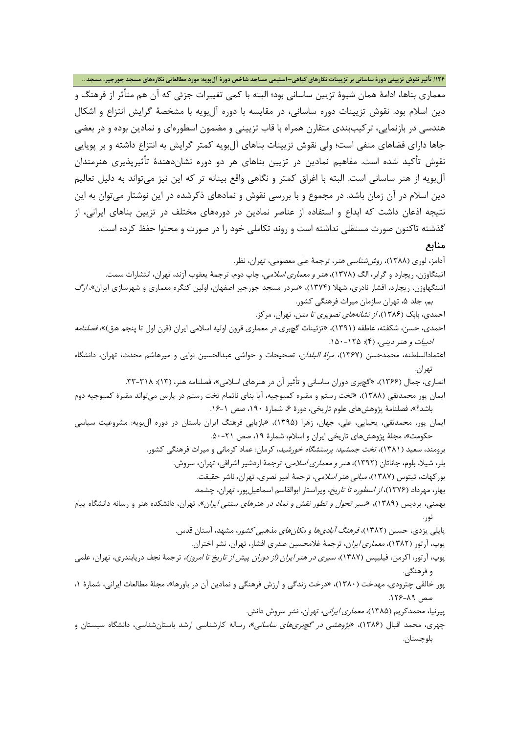معماري بناها، ادامۀ همان شیوة تزیین ساسانی بود؛ البته با کمی تغییرات جزئی که آن هم متأثر از فرهنگ و دین اسلام بود. نقوش تزیینات دوره ساسانی، در مقایسه با دوره آلبویه با مشخصۀ گرایش انتزاع و اشکال هندسی در بازنمایی، ترکیببندي متقارن همراه با قاب تزیینی و مضمون اسطورهاي و نمادین بوده و در بعضی جاها داراي فضاهاي منفی است؛ ولی نقوش تزیینات بناهاي آلبویه کمتر گرایش به انتزاع داشته و بر پویایی نقوش تأکید شده است. مفاهیم نمادین در تزیین بناهاي هر دو دوره نشاندهندة تأثیرپذیري هنرمندان آلبویه از هنر ساسانی است. البته با اغراق کمتر و نگاهی واقع بینانه تر که این نیز میتواند به دلیل تعالیم دین اسلام در آن زمان باشد. در مجموع و با بررسی نقوش و نمادهاي ذکرشده در این نوشتار میتوان به این نتیجه اذعان داشت که ابداع و استفاده از عناصر نمادین در دورههاي مختلف در تزیین بناهاي ایرانی، از گذشته تاکنون صورت مستقلی نداشته است و روند تکاملی خود را در صورت و محتوا حفظ کرده است.

## **منابع**

آدامز، لوري (1388)، روششناسی هنر، ترجمۀ علی معصومی، تهران، نظر. اتینگاوزن، ریچارد و گرابر، الگ (1378)، هنر و معماري اسلامی، چاپ دوم، ترجمۀ یعقوب آزند، تهران، انتشارات سمت. اتینگهاوزن، ریچارد، افشار نادري، شهلا (1374)، «سردر مسجد جورجیر اصفهان، اولین کنگره معماري و شهرسازي ایران»، ارگ بم، جلد ۵، تهران سازمان میراث فرهنگی کشور. احمدي، بابک (1386)، از نشانههاي تصویري تا متن، تهران، مرکز. احمدي، حسن، شکفته، عاطفه (١٣٩١)، «تزئينات گچبري در معماري قرون اوليه اسلامي ايران (قرن اول تا پنجم هق)»، *فصلنامه* ادبیات و هنر دینی، (۴): ۱۲۵–۱۵۰. اعتمادالسلطنه، محمدحسن (1367)، مراة البلدان، تصحیحات و حواشی عبدالحسین نوایی و میرهاشم محدث، تهران، دانشگاه تهران. انصاري، جمال (۱۳۶۶)، «گچبري دوران ساساني و تأثير آن در هنرهاي اسلامي»، فصلنامه هنر، (١٣): ٣٨-٣٣. ایمان پور محمدتقی (1388)، «تخت رستم و مقبره کمبوجیه، آیا بناي ناتمام تخت رستم در پارس میتواند مقبرة کمبوجیه دوم باشد؟»، فصلنامۀ پژوهشهاي علوم تاریخی، دورة ،6 شمارة ،190 صص .16-1 ایمان پور، محمدتقی، یحیایی، علی، جهان، زهرا (1395)، «بازیابی فرهنگ ایران باستان در دوره آلبویه: مشروعیت سیاسی حکومت»، مجلۀ پژوهشهاي تاریخی ایران و اسلام، شمارة ،19 صص .50-21 برومند، سعید (۱۳۸۱)، *تخت جمشید: پرستشگاه خورشید*، کرمان: عماد کرمانی و میراث فرهنگی کشور. بلر، شیلا، بلوم، جاناتان (1392)، هنر و معماري اسلامی، ترجمۀ اردشیر اشراقی، تهران، سروش. بورکهات، تیتوس (1387)، مبانی هنر اسلامی، ترجمۀ امیر نصري، تهران، ناشر حقیقت. بهار، مهرداد (1376)، از اسطوره تا تاریخ، ویراستار ابوالقاسم اسماعیلپور، تهران، چشمه. بهمنی، پردیس (۱۳۸۹)، *«سیر تحول و تطور نقش و نماد در هنرهای سنتی ایران»*، تهران، دانشکده هنر و رسانه دانشگاه پیام نور. پاپلی یزدي، حسین (۱۳۸۲)، *فرهنگ آباديها و مکان هاي مذهبي کشو*ر، مشهد، آستان قدس.

- پوپ، آرتور (1382)، معماري ایران، ترجمۀ غلامحسین صدري افشار، تهران، نشر اختران.
- پوپ، آرتور، اکرمن، فیلیپس (1387)، سیري در هنر ایران (از دوران پیش از تاریخ تا امروز)، ترجمۀ نجف دریابندري، تهران، علمی و فرهنگی.
- پور خالقی چترودي، مهدخت (1380)، «درخت زندگی و ارزش فرهنگی و نمادین آن در باورها»، مجلۀ مطالعات ایرانی، شمارة ،1 صص ٨٩-۱۲۶.
	- پیرنیا، محمدکریم (1385)، معماري ایرانی، تهران، نشر سروش دانش.
- چهري، محمد اقبال (1386)، «پژوهشی در گچبريهاي ساسانی»، رساله کارشناسی ارشد باستانشناسی، دانشگاه سیستان و بلوچستان.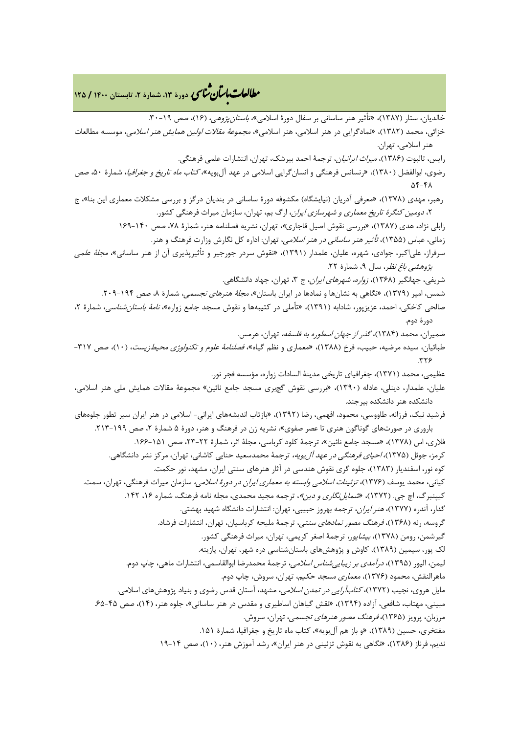خالدیان، ستار (1387)، «تأثیر هنر ساسانی بر سفال دورة اسلامی»، باستانپژوهی، (16)، صص .30-19 خزائی، محمد (1382)، «نمادگرایی در هنر اسلامی، هنر اسلامی»، مجموعۀ مقالات اولین همایش هنر اسلامی، موسسه مطالعات هنر اسلامی، تهران. رایس، تالبوت (1386)، میراث ایرانیان، ترجمۀ احمد بیرشک، تهران، انتشارات علمی فرهنگی. رضوي، ابوالفضل (1380)، «رنسانس فرهنگی و انسانگرایی اسلامی در عهد آلبویه»، کتاب ماه تاریخ و جغرافیا، شمارة ،50 صص  $\Delta f - f \Lambda$ رهبر، مهدي (1378)، «معرفی آدریان (نیایشگاه) مکشوفه دورة ساسانی در بندیان درگز و بررسی مشکلات معماري این بنا»، ج ،2 دومین کنگرة تاریخ معماري و شهرسازي ایران، ارگ بم، تهران، سازمان میراث فرهنگی کشور. زابلی نژاد، هدي (1387)، «بررسی نقوش اصیل قاجاري»، تهران، نشریه فصلنامه هنر، شمارة ،78 صص 169-140 زمانی، عباس (1355)، تأثیر هنر ساسانی در هنر اسلامی، تهران: اداره کل نگارش وزارت فرهنگ و هنر. سرفراز، علیاکبر، جوادي، شهره، علیان، علمدار (1391)، «نقوش سردر جورجیر و تأثیرپذیري آن از هنر ساسانی»، مجلۀ علمی پژوهشی *باغ نظر*، سال ۹، شمارهٔ ۲۲. شریفی، جهانگیر (۱۳۶۸)، *زواره، شهرهای ایران*، ج ۳، تهران، جهاد دانشگاهی. شمس، امیر (۱۳۷۹)، «نگاهی به نشانها و نمادها در ایران باستان»، *مجلۀ هنرهای تجسمی،* شمارۀ ۸، صص ۱۹۴-۲۰۹. صالحی کاخکی، احمد، عزیزپور، شادابه (۱۳۹۱)، «تأملی در کتیبهها و نقوش مسجد جامع زواره*»، نامۀ باستانشناسی*، شمارهٔ ۲، دورة دوم. ضمیران، محمد (1384)، گذر از جهان اسطوره به فلسفه، تهران، هرمس. طبائیان، سیده مرضیه، حبیب، فرخ (1388)، «معماري و نظم گیاه»، فصلنامۀ علوم و تکنولوژي محیطزیست، (10)، صص -317  $.779$ عظیمی، محمد (1371)، جغرافیاي تاریخی مدینۀ السادات زواره، مؤسسه فجر نور. علیان، علمدار، دینلی، عادله (1390)، «بررسی نقوش گچبري مسجد جامع نائین» مجموعۀ مقالات همایش ملی هنر اسلامی، دانشکده هنر دانشکده بیرجند. فرشید نیک، فرزانه، طاووسی، محمود، افهمی، رضا (1392)، «بازتاب اندیشههاي ایرانی- اسلامی در هنر ایران سیر تطور جلوههاي باروري در صورتهاي گوناگون هنري تا عصر صفوي»، نشریه زن در فرهنگ و هنر، دورة 5 شمارة ،2 صص .213-199 فلاري، اس (1378)، «مسجد جامع نائین»، ترجمۀ کلود کرباسی، مجلۀ اثر، شمارة ،23-22 صص .166-151 کرمز، جوئل (۱۳۷۵)، *احیای فرهنگی در عهد آل بویه*، ترجمۀ محمدسعید حنایی کاشانی، تهران، مرکز نشر دانشگاهی. کوه نور، اسفندیار (1383)، جلوه گري نقوش هندسی در آثار هنرهاي سنتی ایران، مشهد، نور حکمت. کیانی، محمد یوسف (1376)، تزئینات اسلامی وابسته به معماري ایران در دورة اسلامی، سازمان میراث فرهنگی، تهران، سمت. کیپنبرگ، اچ جی. (۱۳۷۲)، *«شمایل نگاری و دین»*، ترجمه مجید محمدی، مجله نامه فرهنگ، شماره ۱۶، ۱۴۲. گدار، آندره (1377)، هنر ایران، ترجمه بهروز حبیبی، تهران: انتشارات دانشگاه شهید بهشتی. گروسه، رنه (1368)، فرهنگ مصور نمادهاي سنتی، ترجمۀ ملیحه کرباسیان، تهران، انتشارات فرشاد. گیرشمن، رومن (1378)، بیشاپور، ترجمۀ اصغر کریمی، تهران، میراث فرهنگی کشور. لک پور، سیمین (1389)، کاوش و پژوهشهاي باستانشناسی دره شهر، تهران، پازینه. لیمن، الیور (۱۳۹۵)، *درآمدی بر زیبایی شناس اسلامی*، ترجمۀ محمدرضا ابوالقاسمی، انتشارات ماهی، چاپ دوم. ماهرالنقش، محمود (1376)، معماري مسجد حکیم، تهران، سروش، چاپ دوم. مایل هروي، نجیب (١٣٧٢)، *کتابآرایی در تمدن اسلامی*، مشهد، آستان قدس رضوي و بنیاد پژوهشهاي اسلامي. مبینی، مهتاب، شافعی، آزاده (1394)، «نقش گیاهان اساطیري و مقدس در هنر ساسانی»، جلوه هنر، (14)، صص .65-45 مرزبان، پرویز (1365)، فرهنگ مصور هنرهاي تجسمی، تهران، سروش. مفتخري، حسین (۱۳۸۹)، «و باز هم آلبویه»، کتاب ماه تاریخ و جغرافیا، شمارهٔ ۱۵۱. ندیم، فرناز (1386)، «نگاهی به نقوش تزئینی در هنر ایران»، رشد آموزش هنر، (10)، صص 19-14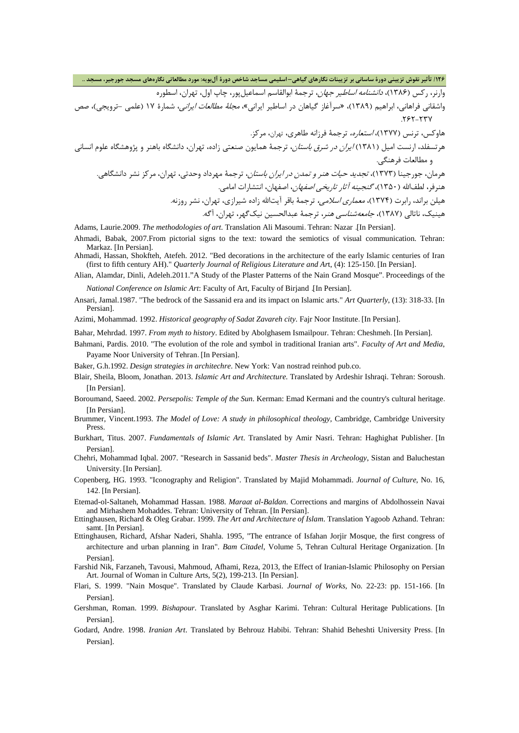وارنر، رکس (۱۳۸۶)، *دانشنامه اساطیر جهان*، ترجمۀ ابوالقاسم اسماعیل پور، چاپ اول، تهران، اسطوره

واشقانی فراهانی، ابراهیم (1389)، «سرآغاز گیاهان در اساطیر ایرانی»، مجلۀ مطالعات ایرانی، شمارة 17 (علمی –ترویجی)، صص 787-737

هاوکس، ترنس (1377)، استعاره، ترجمۀ فرزانه طاهري، تهران، مرکز. هرتسفلد، ارنست امیل (1381) ایران در شرق باستان، ترجمۀ همایون صنعتی زاده، تهران، دانشگاه باهنر و پژوهشگاه علوم انسانی و مطالعات فرهنگی.

هرمان، جورجینا (۱۳۷۳)، *تجدید حیات هنر و تمدن در ایران باستان*، ترجمۀ مهرداد وحدتی، تهران، مرکز نشر دانشگاهی. هنرفر، لطفالله (۱۳۵۰)، *گنجینه آثار تاریخی اصفهان*، اصفهان، انتشارات امامی.

هیلن براند، رابرت (1374)، معماري اسلامی، ترجمۀ باقر آیتاالله زاده شیرازي، تهران، نشر روزنه.

هینیک، ناتالی (1387)، جامعهشناسی هنر، ترجمۀ عبدالحسین نیکگهر، تهران، آگه.

Adams, Laurie.2009. *The methodologies of art*. Translation Ali Masoumi. Tehran: Nazar .[In Persian].

- Ahmadi, Babak, 2007.From pictorial signs to the text: toward the semiotics of visual communication. Tehran: Markaz. [In Persian].
- Ahmadi, Hassan, Shokfteh, Atefeh. 2012. "Bed decorations in the architecture of the early Islamic centuries of Iran (first to fifth century AH)." *Quarterly Journal of Religious Literature and Ar*t, (4): 125-150. [In Persian].
- Alian, Alamdar, Dinli, Adeleh.2011."A Study of the Plaster Patterns of the Nain Grand Mosque". Proceedings of the *National Conference on Islamic Art*: Faculty of Art, Faculty of Birjand .[In Persian].
- Ansari, Jamal.1987. "The bedrock of the Sassanid era and its impact on Islamic arts." *Art Quarterly*, (13): 318-33. [In Persian].

Azimi, Mohammad. 1992. *Historical geography of Sadat Zavareh city*. Fajr Noor Institute. [In Persian].

- Bahar, Mehrdad. 1997. *From myth to history*. Edited by Abolghasem Ismailpour. Tehran: Cheshmeh. [In Persian].
- Bahmani, Pardis. 2010. "The evolution of the role and symbol in traditional Iranian arts". *Faculty of Art and Media*, Payame Noor University of Tehran. [In Persian].

Baker, G.h.1992. *Design strategies in architechre*. New York: Van nostrad reinhod pub.co.

- Blair, Sheila, Bloom, Jonathan. 2013. *Islamic Art and Architecture*. Translated by Ardeshir Ishraqi. Tehran: Soroush. [In Persian].
- Boroumand, Saeed. 2002. *Persepolis: Temple of the Sun*. Kerman: Emad Kermani and the country's cultural heritage. [In Persian].
- Brummer, Vincent.1993. *The Model of Love: A study in philosophical theology*, Cambridge, Cambridge University Press.
- Burkhart, Titus. 2007. *Fundamentals of Islamic Art*. Translated by Amir Nasri. Tehran: Haghighat Publisher. [In Persian].
- Chehri, Mohammad Iqbal. 2007. "Research in Sassanid beds". *Master Thesis in Archeology*, Sistan and Baluchestan University. [In Persian].
- Copenberg, HG. 1993. "Iconography and Religion". Translated by Majid Mohammadi. *Journal of Culture*, No. 16, 142. [In Persian].
- Etemad-ol-Saltaneh, Mohammad Hassan. 1988. *Maraat al-Baldan*. Corrections and margins of Abdolhossein Navai and Mirhashem Mohaddes. Tehran: University of Tehran. [In Persian].
- Ettinghausen, Richard & Oleg Grabar. 1999. *The Art and Architecture of Islam*. Translation Yagoob Azhand. Tehran: samt. [In Persian].
- Ettinghausen, Richard, Afshar Naderi, Shahla. 1995, "The entrance of Isfahan Jorjir Mosque, the first congress of architecture and urban planning in Iran". *Bam Citadel*, Volume 5, Tehran Cultural Heritage Organization. [In Persian].
- Farshid Nik, Farzaneh, Tavousi, Mahmoud, Afhami, Reza, 2013, the Effect of Iranian-Islamic Philosophy on Persian Art. Journal of Woman in Culture Arts, 5(2), 199-213. [In Persian].
- Flari, S. 1999. "Nain Mosque". Translated by Claude Karbasi. *Journal of Works*, No. 22-23: pp. 151-166. [In Persian].
- Gershman, Roman. 1999. *Bishapour*. Translated by Asghar Karimi. Tehran: Cultural Heritage Publications. [In Persian].
- Godard, Andre. 1998. *Iranian Art*. Translated by Behrouz Habibi. Tehran: Shahid Beheshti University Press. [In Persian].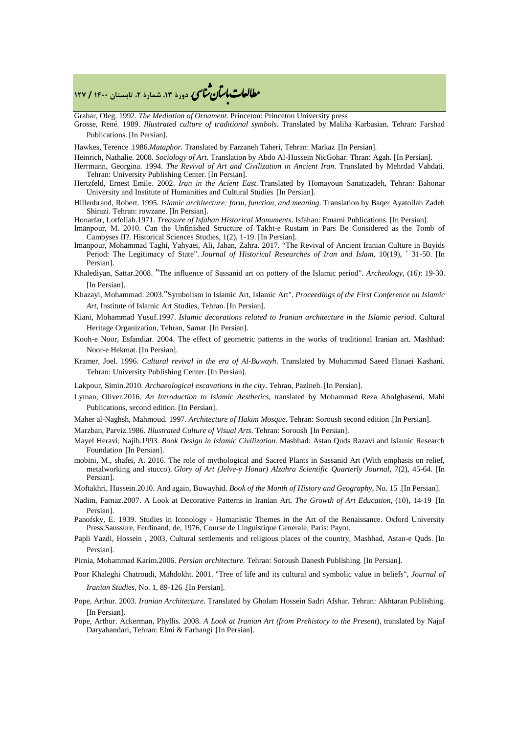# **، دورة ،13 شمارة ،2 تابستان <sup>1400</sup> / <sup>127</sup>** �نا� �طا ی �عات با�تان

Grabar, Oleg. 1992. *The Mediation of Ornament*. Princeton: Princeton University press

Grosse, René. 1989. *Illustrated culture of traditional symbols*. Translated by Maliha Karbasian. Tehran: Farshad Publications. [In Persian].

Hawkes, Terence .1986.*Mataphor*. Translated by Farzaneh Taheri, Tehran: Markaz .[In Persian].

Heinrich, Nathalie. 2008. *Sociology of Art*. Translation by Abdo Al-Hussein NicGohar. Thran: Agah. [In Persian].

Herrmann, Georgina. 1994. *The Revival of Art and Civilization in Ancient Iran*. Translated by Mehrdad Vahdati. Tehran: University Publishing Center. [In Persian].

- Hertzfeld, Ernest Emile. 2002. *Iran in the Acient East*. Translated by Homayoun Sanatizadeh, Tehran: Bahonar University and Institute of Humanities and Cultural Studies .[In Persian].
- Hillenbrand, Robert. 1995. *Islamic architecture: form, function, and meaning*. Translation by Baqer Ayatollah Zadeh Shirazi. Tehran: rowzane. [In Persian].

Honarfar, Lotfollah.1971. *Treasure of Isfahan Historical Monuments*. Isfahan: Emami Publications. [In Persian].

- Imānpour, M. 2010. Can the Unfinished Structure of Takht-e Rustam in Pars Be Considered as the Tomb of Cambyses II?. Historical Sciences Studies, 1(2), 1-19. [In Persian].
- Imanpour, Mohammad Taghi, Yahyaei, Ali, Jahan, Zahra. 2017. "The Revival of Ancient Iranian Culture in Buyids Period: The Legitimacy of State". *Journal of Historical Researches of Iran and Islam*, 10(19), ` 31-50. [In Persian].

Khalediyan, Sattar.2008. "The influence of Sassanid art on pottery of the Islamic period". *Archeology*, (16): 19-30. [In Persian].

- Khazayi, Mohammad. 2003."Symbolism in Islamic Art, Islamic Art". *Proceedings of the First Conference on Islamic Art*, Institute of Islamic Art Studies, Tehran. [In Persian].
- Kiani, Mohammad Yusuf.1997. *Islamic decorations related to Iranian architecture in the Islamic period*. Cultural Heritage Organization, Tehran, Samat. [In Persian].
- Kooh-e Noor, Esfandiar. 2004. The effect of geometric patterns in the works of traditional Iranian art. Mashhad: Noor-e Hekmat. [In Persian].
- Kramer, Joel. 1996. *Cultural revival in the era of Al-Buwayh*. Translated by Mohammad Saeed Hanaei Kashani. Tehran: University Publishing Center. [In Persian].
- Lakpour, Simin.2010. *Archaeological excavations in the city*. Tehran, Pazineh. [In Persian].
- Lyman, Oliver.2016. *An Introduction to Islamic Aesthetics*, translated by Mohammad Reza Abolghasemi, Mahi Publications, second edition. [In Persian].
- Maher al-Naghsh, Mahmoud. 1997. *Architecture of Hakim Mosque*. Tehran: Soroush second edition .[In Persian].
- Marzban, Parviz.1986. *Illustrated Culture of Visual Arts*. Tehran: Soroush .[In Persian].
- Mayel Heravi, Najib.1993. *Book Design in Islamic Civilization*. Mashhad: Astan Quds Razavi and Islamic Research Foundation .[In Persian].
- mobini, M., shafei, A. 2016. The role of mythological and Sacred Plants in Sassanid Art (With emphasis on relief, metalworking and stucco). *Glory of Art (Jelve-y Honar) Alzahra Scientific Quarterly Journal*, 7(2), 45-64. [In Persian].
- Moftakhri, Hussein.2010. And again, Buwayhid. *Book of the Month of History and Geography*, No. 15 .[In Persian].
- Nadim, Farnaz.2007. A Look at Decorative Patterns in Iranian Art. *The Growth of Art Education*, (10), 14-19 .[In Persian].
- Panofsky, E. 1939. Studies in Iconology Humanistic Themes in the Art of the Renaissance. Oxford University Press.Saussure, Ferdinand, de, 1976, Course de Linguistique Generale, Paris: Payot.
- Papli Yazdi, Hossein , 2003, Cultural settlements and religious places of the country, Mashhad, Astan-e Quds. [In Persian].
- Pirnia, Mohammad Karim.2006. *Persian architecture*. Tehran: Soroush Danesh Publishing. [In Persian].
- Poor Khaleghi Chatroudi, Mahdokht. 2001. "Tree of life and its cultural and symbolic value in beliefs", *Journal of Iranian Studies*, No. 1, 89-126 .[In Persian].
- Pope, Arthur. 2003. *Iranian Architecture*. Translated by Gholam Hossein Sadri Afshar. Tehran: Akhtaran Publishing. [In Persian].
- Pope, Arthur. Ackerman, Phyllis. 2008. *A Look at Iranian Art (from Prehistory to the Present*), translated by Najaf Daryabandari, Tehran: Elmi & Farhangi .[In Persian].